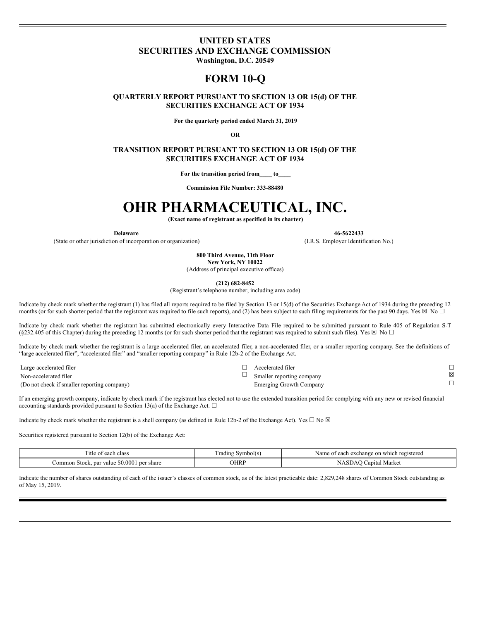## **UNITED STATES SECURITIES AND EXCHANGE COMMISSION**

**Washington, D.C. 20549**

# **FORM 10-Q**

## **QUARTERLY REPORT PURSUANT TO SECTION 13 OR 15(d) OF THE SECURITIES EXCHANGE ACT OF 1934**

**For the quarterly period ended March 31, 2019**

**OR**

**TRANSITION REPORT PURSUANT TO SECTION 13 OR 15(d) OF THE SECURITIES EXCHANGE ACT OF 1934**

**For the transition period from\_\_\_\_ to\_\_\_\_**

**Commission File Number: 333-88480**

# **OHR PHARMACEUTICAL, INC.**

**(Exact name of registrant as specified in its charter)**

(State or other jurisdiction of incorporation or organization) (I.R.S. Employer Identification No.)

**Delaware 46-5622433**

**800 Third Avenue, 11th Floor New York, NY 10022** (Address of principal executive offices)

**(212) 682-8452**

(Registrant's telephone number, including area code)

Indicate by check mark whether the registrant (1) has filed all reports required to be filed by Section 13 or 15(d) of the Securities Exchange Act of 1934 during the preceding 12 months (or for such shorter period that the registrant was required to file such reports), and (2) has been subject to such filing requirements for the past 90 days. Yes  $\boxtimes$  No  $\Box$ 

Indicate by check mark whether the registrant has submitted electronically every Interactive Data File required to be submitted pursuant to Rule 405 of Regulation S-T (§232.405 of this Chapter) during the preceding 12 months (or for such shorter period that the registrant was required to submit such files). Yes  $\boxtimes$  No  $\Box$ 

Indicate by check mark whether the registrant is a large accelerated filer, an accelerated filer, a non-accelerated filer, or a smaller reporting company. See the definitions of "large accelerated filer", "accelerated filer" and "smaller reporting company" in Rule 12b-2 of the Exchange Act.

Large accelerated filer  $□$ <br>  $□$  Accelerated filer  $□$ <br>  $□$  Accelerated filer  $□$ Non-accelerated filer  $\square$ <br>
Smaller reporting company  $\square$ <br>  $\square$  Smaller reporting company  $\square$ (Do not check if smaller reporting company) Emerging Growth Company

If an emerging growth company, indicate by check mark if the registrant has elected not to use the extended transition period for complying with any new or revised financial accounting standards provided pursuant to Section 13(a) of the Exchange Act.  $\square$ 

Indicate by check mark whether the registrant is a shell company (as defined in Rule 12b-2 of the Exchange Act). Yes  $\Box$  No  $\boxtimes$ 

Securities registered pursuant to Section 12(b) of the Exchange Act:

| <sub>1</sub> tle<br>class<br>each                          | mbolt s<br>adıng " | exchange on which<br>Name.<br>≥ach<br>i registered |
|------------------------------------------------------------|--------------------|----------------------------------------------------|
| 0.000<br>per share<br>-80<br>-nar value<br>-Stock.<br>mmon | OHRP               | Market<br>anital                                   |

Indicate the number of shares outstanding of each of the issuer's classes of common stock, as of the latest practicable date: 2,829,248 shares of Common Stock outstanding as of May 15, 2019.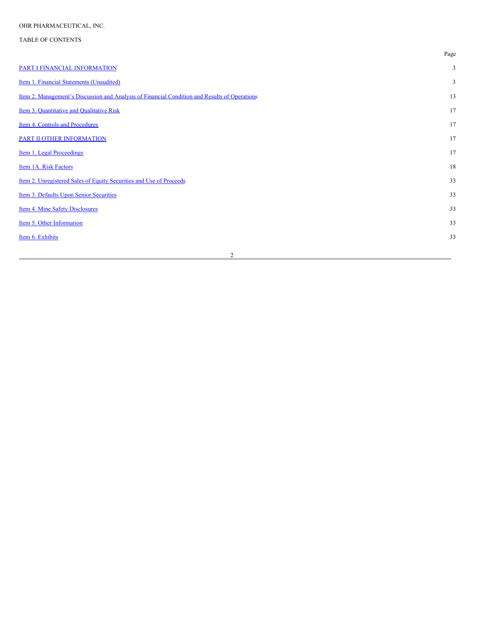## TABLE OF CONTENTS

|                                                                                                      | Page |
|------------------------------------------------------------------------------------------------------|------|
| PART I FINANCIAL INFORMATION                                                                         | 3    |
| Item 1. Financial Statements (Unaudited)                                                             | 3    |
| <u>Item 2. Management's Discussion and Analysis of Financial Condition and Results of Operations</u> | 13   |
| Item 3. Quantitative and Qualitative Risk                                                            | 17   |
| Item 4. Controls and Procedures                                                                      | 17   |
| PART II OTHER INFORMATION                                                                            | 17   |
| Item 1. Legal Proceedings                                                                            | 17   |
| Item 1A. Risk Factors                                                                                | 18   |
| Item 2. Unregistered Sales of Equity Securities and Use of Proceeds                                  | 33   |
| Item 3. Defaults Upon Senior Securities                                                              | 33   |
| Item 4. Mine Safety Disclosures                                                                      | 33   |
| Item 5. Other Information                                                                            | 33   |
| Item 6. Exhibits                                                                                     | 33   |
|                                                                                                      |      |

2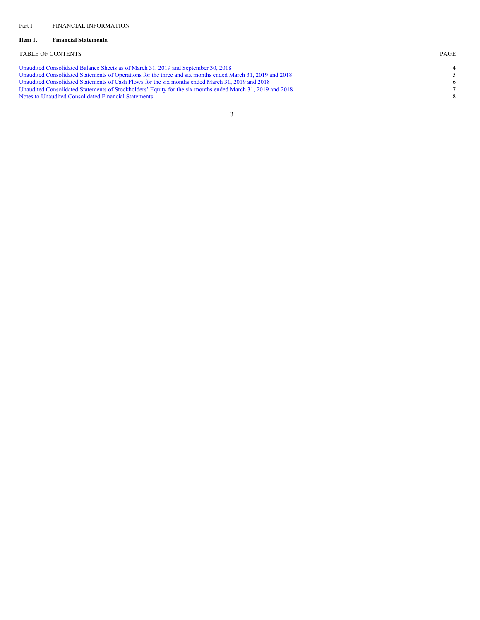## <span id="page-2-1"></span><span id="page-2-0"></span>**Item 1. Financial Statements.**

## TABLE OF CONTENTS PAGE

| Unaudited Consolidated Balance Sheets as of March 31, 2019 and September 30, 2018                          |               |
|------------------------------------------------------------------------------------------------------------|---------------|
| Unaudited Consolidated Statements of Operations for the three and six months ended March 31, 2019 and 2018 |               |
| Unaudited Consolidated Statements of Cash Flows for the six months ended March 31, 2019 and 2018           |               |
| Unaudited Consolidated Statements of Stockholders' Equity for the six months ended March 31, 2019 and 2018 |               |
| Notes to Unaudited Consolidated Financial Statements                                                       | $\mathcal{R}$ |
|                                                                                                            |               |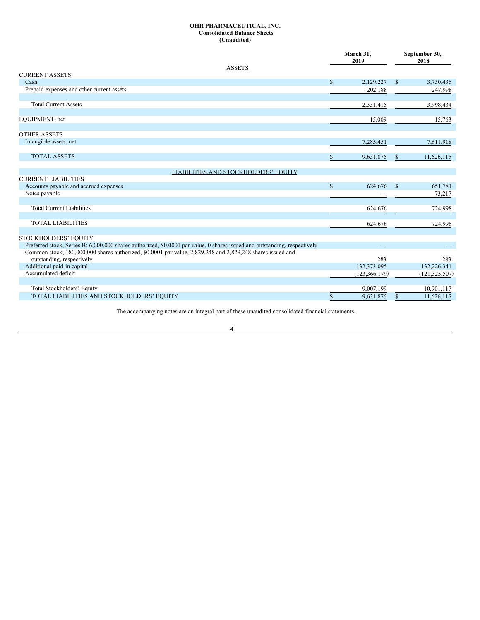## <span id="page-3-0"></span>**OHR PHARMACEUTICAL, INC. Consolidated Balance Sheets (Unaudited)**

|                                                                                                                                                                                                                                         |               | March 31,<br>2019 |               | September 30,<br>2018 |
|-----------------------------------------------------------------------------------------------------------------------------------------------------------------------------------------------------------------------------------------|---------------|-------------------|---------------|-----------------------|
| <b>ASSETS</b><br><b>CURRENT ASSETS</b>                                                                                                                                                                                                  |               |                   |               |                       |
| Cash                                                                                                                                                                                                                                    | $\mathbf S$   | 2,129,227         | $\mathbf{s}$  | 3,750,436             |
| Prepaid expenses and other current assets                                                                                                                                                                                               |               | 202,188           |               | 247,998               |
|                                                                                                                                                                                                                                         |               |                   |               |                       |
| <b>Total Current Assets</b>                                                                                                                                                                                                             |               | 2,331,415         |               | 3,998,434             |
| EQUIPMENT, net                                                                                                                                                                                                                          |               | 15,009            |               | 15,763                |
| <b>OTHER ASSETS</b>                                                                                                                                                                                                                     |               |                   |               |                       |
| Intangible assets, net                                                                                                                                                                                                                  |               | 7,285,451         |               | 7,611,918             |
| <b>TOTAL ASSETS</b>                                                                                                                                                                                                                     | \$            | 9,631,875         |               | 11,626,115            |
| LIABILITIES AND STOCKHOLDERS' EQUITY                                                                                                                                                                                                    |               |                   |               |                       |
| <b>CURRENT LIABILITIES</b>                                                                                                                                                                                                              |               |                   |               |                       |
| Accounts payable and accrued expenses                                                                                                                                                                                                   | $\mathcal{S}$ | 624,676           | $\mathbf{s}$  | 651,781               |
| Notes payable                                                                                                                                                                                                                           |               |                   |               | 73,217                |
| <b>Total Current Liabilities</b>                                                                                                                                                                                                        |               | 624,676           |               | 724,998               |
| <b>TOTAL LIABILITIES</b>                                                                                                                                                                                                                |               | 624,676           |               | 724,998               |
| STOCKHOLDERS' EQUITY                                                                                                                                                                                                                    |               |                   |               |                       |
| Preferred stock, Series B; 6,000,000 shares authorized, \$0,0001 par value, 0 shares issued and outstanding, respectively<br>Common stock; 180,000,000 shares authorized, \$0,0001 par value, 2,829,248 and 2,829,248 shares issued and |               |                   |               |                       |
| outstanding, respectively                                                                                                                                                                                                               |               | 283               |               | 283                   |
| Additional paid-in capital                                                                                                                                                                                                              |               | 132,373,095       |               | 132,226,341           |
| Accumulated deficit                                                                                                                                                                                                                     |               | (123, 366, 179)   |               | (121, 325, 507)       |
|                                                                                                                                                                                                                                         |               |                   |               |                       |
| Total Stockholders' Equity<br>TOTAL LIABILITIES AND STOCKHOLDERS' EQUITY                                                                                                                                                                |               | 9,007,199         |               | 10,901,117            |
|                                                                                                                                                                                                                                         | \$            | 9,631,875         | <sup>\$</sup> | 11,626,115            |

The accompanying notes are an integral part of these unaudited consolidated financial statements.

4

<u> 1989 - Johann Stoff, deutscher Stoffen und der Stoffen und der Stoffen und der Stoffen und der Stoffen und der</u>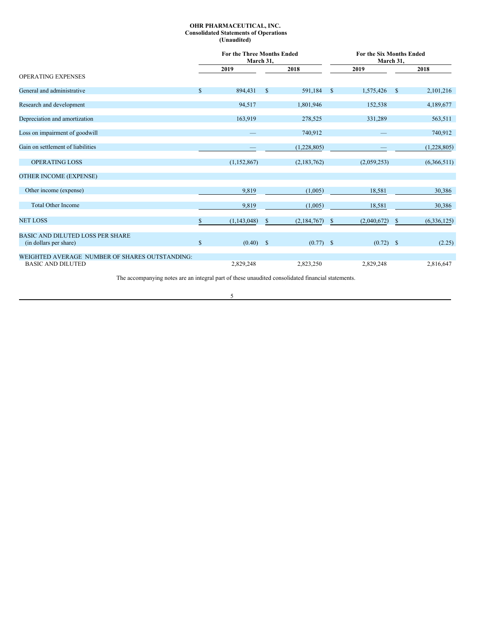## <span id="page-4-0"></span>**OHR PHARMACEUTICAL, INC. Consolidated Statements of Operations (Unaudited)**

|                                                |              | <b>For the Three Months Ended</b><br>March 31, |              | <b>For the Six Months Ended</b><br>March 31, |               |             |              |               |
|------------------------------------------------|--------------|------------------------------------------------|--------------|----------------------------------------------|---------------|-------------|--------------|---------------|
|                                                |              | 2019                                           |              | 2018                                         |               | 2019        |              | 2018          |
| <b>OPERATING EXPENSES</b>                      |              |                                                |              |                                              |               |             |              |               |
| General and administrative                     | $\mathbb{S}$ | 894,431                                        | $\mathbb{S}$ | 591,184                                      | -S            | 1,575,426   | $^{\circ}$   | 2,101,216     |
| Research and development                       |              | 94,517                                         |              | 1,801,946                                    |               | 152,538     |              | 4,189,677     |
| Depreciation and amortization                  |              | 163,919                                        |              | 278,525                                      |               | 331,289     |              | 563,511       |
| Loss on impairment of goodwill                 |              |                                                |              | 740,912                                      |               |             |              | 740,912       |
| Gain on settlement of liabilities              |              |                                                |              | (1,228,805)                                  |               |             |              | (1,228,805)   |
| <b>OPERATING LOSS</b>                          |              | (1, 152, 867)                                  |              | (2,183,762)                                  |               | (2,059,253) |              | (6,366,511)   |
| <b>OTHER INCOME (EXPENSE)</b>                  |              |                                                |              |                                              |               |             |              |               |
| Other income (expense)                         |              | 9,819                                          |              | (1,005)                                      |               | 18,581      |              | 30,386        |
| <b>Total Other Income</b>                      |              | 9,819                                          |              | (1,005)                                      |               | 18,581      |              | 30,386        |
| <b>NET LOSS</b>                                | \$           | (1, 143, 048)                                  | S            | (2,184,767)                                  | <sup>\$</sup> | (2,040,672) | <sup>S</sup> | (6, 336, 125) |
| <b>BASIC AND DILUTED LOSS PER SHARE</b>        |              |                                                |              |                                              |               |             |              |               |
| (in dollars per share)                         | $\mathbb{S}$ | (0.40)                                         | $\mathbb{S}$ | $(0.77)$ \$                                  |               | $(0.72)$ \$ |              | (2.25)        |
| WEIGHTED AVERAGE NUMBER OF SHARES OUTSTANDING: |              |                                                |              |                                              |               |             |              |               |
| <b>BASIC AND DILUTED</b>                       |              | 2,829,248                                      |              | 2,823,250                                    |               | 2,829,248   |              | 2,816,647     |

The accompanying notes are an integral part of these unaudited consolidated financial statements.

5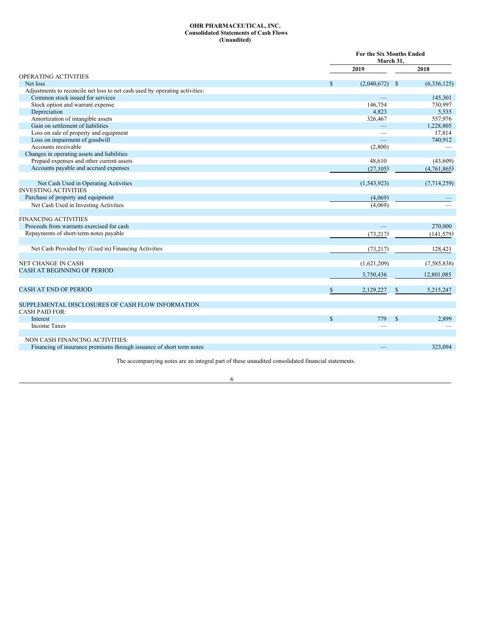## <span id="page-5-0"></span>**OHR PHARMACEUTICAL, INC. Consolidated Statements of Cash Flows (Unaudited)**

|                                                                             |              | <b>For the Six Months Ended</b><br>March 31. |               |               |
|-----------------------------------------------------------------------------|--------------|----------------------------------------------|---------------|---------------|
|                                                                             |              | 2019                                         |               | 2018          |
| <b>OPERATING ACTIVITIES</b>                                                 |              |                                              |               |               |
| Net loss                                                                    | \$           | $(2,040,672)$ \$                             |               | (6,336,125)   |
| Adjustments to reconcile net loss to net cash used by operating activities: |              |                                              |               |               |
| Common stock issued for services                                            |              |                                              |               | 145,301       |
| Stock option and warrant expense                                            |              | 146,754                                      |               | 730,997       |
| Depreciation                                                                |              | 4,823                                        |               | 5,535         |
| Amortization of intangible assets                                           |              | 326,467                                      |               | 557,976       |
| Gain on settlement of liabilities                                           |              |                                              |               | 1,228,805     |
| Loss on sale of property and equipment                                      |              |                                              |               | 17,814        |
| Loss on impairment of goodwill                                              |              |                                              |               | 740.912       |
| Accounts receivable                                                         |              | (2,800)                                      |               |               |
| Changes in operating assets and liabilities                                 |              |                                              |               |               |
| Prepaid expenses and other current assets                                   |              | 48,610                                       |               | (43,609)      |
| Accounts payable and accrued expenses                                       |              | (27, 105)                                    |               | (4,761,865)   |
| Net Cash Used in Operating Activities                                       |              | (1,543,923)                                  |               | (7,714,259)   |
| <b>INVESTING ACTIVITIES</b>                                                 |              |                                              |               |               |
| Purchase of property and equipment                                          |              | (4,069)                                      |               |               |
|                                                                             |              |                                              |               |               |
| Net Cash Used in Investing Activities                                       |              | (4,069)                                      |               |               |
| <b>FINANCING ACTIVITIES</b>                                                 |              |                                              |               |               |
| Proceeds from warrants exercised for cash                                   |              |                                              |               | 270,000       |
| Repayments of short-term notes payable                                      |              | (73, 217)                                    |               | (141, 579)    |
|                                                                             |              |                                              |               |               |
| Net Cash Provided by/ (Used in) Financing Activities                        |              | (73, 217)                                    |               | 128,421       |
| NET CHANGE IN CASH                                                          |              | (1,621,209)                                  |               | (7, 585, 838) |
| <b>CASH AT BEGINNING OF PERIOD</b>                                          |              |                                              |               |               |
|                                                                             |              | 3,750,436                                    |               | 12,801,085    |
| CASH AT END OF PERIOD                                                       | \$           | 2,129,227                                    |               | 5,215,247     |
|                                                                             |              |                                              |               |               |
| SUPPLEMENTAL DISCLOSURES OF CASH FLOW INFORMATION                           |              |                                              |               |               |
| <b>CASH PAID FOR:</b>                                                       |              |                                              |               |               |
| <b>Interest</b>                                                             | $\mathbf{s}$ | 779                                          | $\mathcal{S}$ | 2,899         |
| <b>Income Taxes</b>                                                         |              |                                              |               |               |
|                                                                             |              |                                              |               |               |
| NON CASH FINANCING ACTIVITIES:                                              |              |                                              |               |               |
| Financing of insurance premiums through issuance of short term notes        |              |                                              |               | 323.094       |
|                                                                             |              |                                              |               |               |

The accompanying notes are an integral part of these unaudited consolidated financial statements.

## 6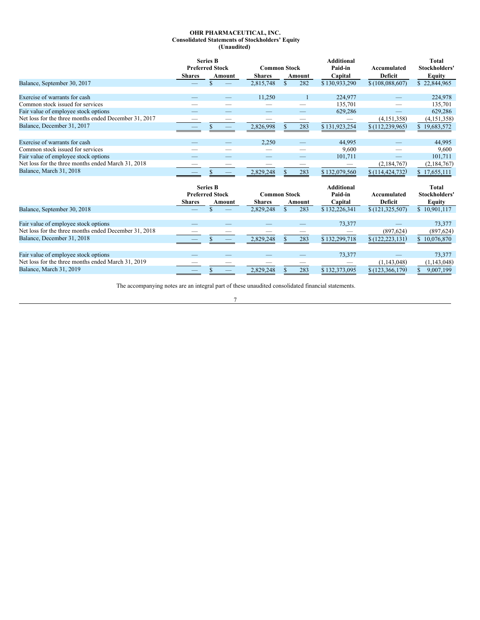## <span id="page-6-0"></span>**OHR PHARMACEUTICAL, INC. Consolidated Statements of Stockholders' Equity (Unaudited)**

|                                                       | <b>Shares</b> | <b>Series B</b><br><b>Preferred Stock</b><br>Amount | <b>Common Stock</b><br><b>Shares</b> |               | Amount | <b>Additional</b><br>Paid-in<br>Capital | Accumulated<br><b>Deficit</b> | <b>Total</b><br>Stockholders'<br><b>Equity</b> |
|-------------------------------------------------------|---------------|-----------------------------------------------------|--------------------------------------|---------------|--------|-----------------------------------------|-------------------------------|------------------------------------------------|
| Balance, September 30, 2017                           |               | \$.                                                 | 2,815,748                            | \$.           | 282    | \$130,933,290                           | \$(108,088,607)               | \$22,844,965                                   |
| Exercise of warrants for cash                         |               |                                                     | 11,250                               |               |        | 224,977                                 |                               | 224,978                                        |
| Common stock issued for services                      |               |                                                     |                                      |               |        | 135,701                                 |                               | 135,701                                        |
| Fair value of employee stock options                  |               |                                                     |                                      |               |        | 629,286                                 |                               | 629,286                                        |
| Net loss for the three months ended December 31, 2017 |               |                                                     |                                      |               |        |                                         | (4,151,358)                   | (4,151,358)                                    |
| Balance, December 31, 2017                            |               |                                                     | 2,826,998                            |               | 283    | \$131,923,254                           | \$(112, 239, 965)             | 19,683,572                                     |
|                                                       |               |                                                     |                                      |               |        |                                         |                               |                                                |
| Exercise of warrants for cash                         |               |                                                     | 2,250                                |               |        | 44,995                                  |                               | 44.995                                         |
| Common stock issued for services                      |               |                                                     |                                      |               |        | 9,600                                   |                               | 9,600                                          |
| Fair value of employee stock options                  |               |                                                     |                                      |               |        | 101,711                                 |                               | 101,711                                        |
| Net loss for the three months ended March 31, 2018    |               |                                                     |                                      |               |        |                                         | (2,184,767)                   | (2,184,767)                                    |
| Balance, March 31, 2018                               |               |                                                     | 2,829,248                            |               | 283    | \$132,079,560                           | \$(114, 424, 732)             | 17,655,111                                     |
|                                                       |               | <b>Series B</b><br><b>Preferred Stock</b>           | <b>Common Stock</b>                  |               |        | <b>Additional</b><br>Paid-in            | Accumulated                   | Total<br><b>Stockholders'</b>                  |
|                                                       | <b>Shares</b> | Amount                                              | <b>Shares</b>                        |               | Amount | Capital                                 | <b>Deficit</b>                | <b>Equity</b>                                  |
| Balance, September 30, 2018                           |               | $\mathcal{S}$                                       | 2,829,248                            | $\mathcal{S}$ | 283    | \$132,226,341                           | \$(121, 325, 507)             | \$10,901,117                                   |
|                                                       |               |                                                     |                                      |               |        |                                         |                               |                                                |
| Fair value of employee stock options                  |               |                                                     |                                      |               |        | 73,377                                  |                               | 73,377                                         |
| Net loss for the three months ended December 31, 2018 |               |                                                     |                                      |               |        |                                         | (897, 624)                    | (897, 624)                                     |
| Balance, December 31, 2018                            |               |                                                     | 2,829,248                            |               | 283    | \$132,299,718                           | \$(122, 223, 131)             | \$10,076,870                                   |
| Fair value of employee stock options                  |               |                                                     |                                      |               |        | 73,377                                  |                               | 73,377                                         |
| Net loss for the three months ended March 31, 2019    |               |                                                     |                                      |               |        |                                         | (1,143,048)                   | (1, 143, 048)                                  |
| Balance, March 31, 2019                               |               |                                                     |                                      |               |        |                                         |                               |                                                |
|                                                       |               | \$<br>$\hspace{1.0cm} \overline{\phantom{0}}$       | 2.829.248                            |               | 283    | \$132,373,095                           | \$(123, 366, 179)             | 9,007,199<br>S                                 |

The accompanying notes are an integral part of these unaudited consolidated financial statements.

## 7

<u> 1989 - Johann Stoff, Amerikaansk politiker (</u>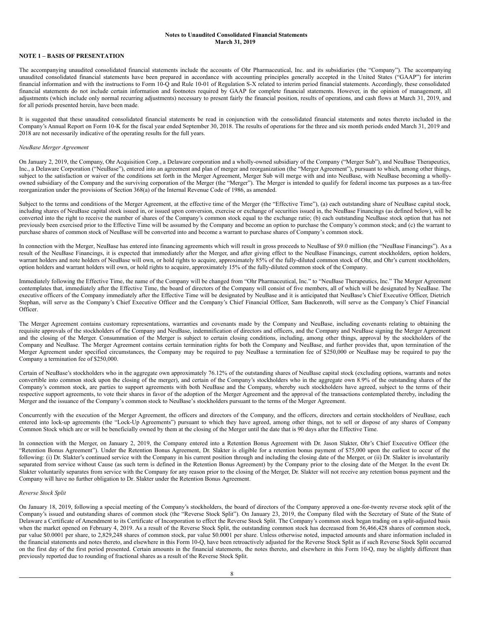## <span id="page-7-0"></span>**Notes to Unaudited Consolidated Financial Statements March 31, 2019**

## **NOTE 1 – BASIS OF PRESENTATION**

The accompanying unaudited consolidated financial statements include the accounts of Ohr Pharmaceutical, Inc. and its subsidiaries (the "Company"). The accompanying unaudited consolidated financial statements have been prepared in accordance with accounting principles generally accepted in the United States ("GAAP") for interim financial information and with the instructions to Form 10-Q and Rule 10-01 of Regulation S-X related to interim period financial statements. Accordingly, these consolidated financial statements do not include certain information and footnotes required by GAAP for complete financial statements. However, in the opinion of management, all adjustments (which include only normal recurring adjustments) necessary to present fairly the financial position, results of operations, and cash flows at March 31, 2019, and for all periods presented herein, have been made.

It is suggested that these unaudited consolidated financial statements be read in conjunction with the consolidated financial statements and notes thereto included in the Company's Annual Report on Form 10-K for the fiscal year ended September 30, 2018. The results of operations for the three and six month periods ended March 31, 2019 and 2018 are not necessarily indicative of the operating results for the full years.

#### *NeuBase Merger Agreement*

On January 2, 2019, the Company, Ohr Acquisition Corp., a Delaware corporation and a wholly-owned subsidiary of the Company ("Merger Sub"), and NeuBase Therapeutics, Inc., a Delaware Corporation ("NeuBase"), entered into an agreement and plan of merger and reorganization (the "Merger Agreement"), pursuant to which, among other things, subject to the satisfaction or waiver of the conditions set forth in the Merger Agreement, Merger Sub will merge with and into NeuBase, with NeuBase becoming a whollyowned subsidiary of the Company and the surviving corporation of the Merger (the "Merger"). The Merger is intended to qualify for federal income tax purposes as a tax-free reorganization under the provisions of Section 368(a) of the Internal Revenue Code of 1986, as amended.

Subject to the terms and conditions of the Merger Agreement, at the effective time of the Merger (the "Effective Time"), (a) each outstanding share of NeuBase capital stock, including shares of NeuBase capital stock issued in, or issued upon conversion, exercise or exchange of securities issued in, the NeuBase Financings (as defined below), will be converted into the right to receive the number of shares of the Company's common stock equal to the exchange ratio; (b) each outstanding NeuBase stock option that has not previously been exercised prior to the Effective Time will be assumed by the Company and become an option to purchase the Company's common stock; and (c) the warrant to purchase shares of common stock of NeuBase will be converted into and become a warrant to purchase shares of Company's common stock.

In connection with the Merger, NeuBase has entered into financing agreements which will result in gross proceeds to NeuBase of \$9.0 million (the "NeuBase Financings"). As a result of the NeuBase Financings, it is expected that immediately after the Merger, and after giving effect to the NeuBase Financings, current stockholders, option holders, warrant holders and note holders of NeuBase will own, or hold rights to acquire, approximately 85% of the fully-diluted common stock of Ohr, and Ohr's current stockholders, option holders and warrant holders will own, or hold rights to acquire, approximately 15% of the fully-diluted common stock of the Company.

Immediately following the Effective Time, the name of the Company will be changed from "Ohr Pharmaceutical, Inc." to "NeuBase Therapeutics, Inc." The Merger Agreement contemplates that, immediately after the Effective Time, the board of directors of the Company will consist of five members, all of which will be designated by NeuBase. The executive officers of the Company immediately after the Effective Time will be designated by NeuBase and it is anticipated that NeuBase's Chief Executive Officer, Dietrich Stephan, will serve as the Company's Chief Executive Officer and the Company's Chief Financial Officer, Sam Backenroth, will serve as the Company's Chief Financial Officer.

The Merger Agreement contains customary representations, warranties and covenants made by the Company and NeuBase, including covenants relating to obtaining the requisite approvals of the stockholders of the Company and NeuBase, indemnification of directors and officers, and the Company and NeuBase signing the Merger Agreement and the closing of the Merger. Consummation of the Merger is subject to certain closing conditions, including, among other things, approval by the stockholders of the Company and NeuBase. The Merger Agreement contains certain termination rights for both the Company and NeuBase, and further provides that, upon termination of the Merger Agreement under specified circumstances, the Company may be required to pay NeuBase a termination fee of \$250,000 or NeuBase may be required to pay the Company a termination fee of \$250,000.

Certain of NeuBase's stockholders who in the aggregate own approximately 76.12% of the outstanding shares of NeuBase capital stock (excluding options, warrants and notes convertible into common stock upon the closing of the merger), and certain of the Company's stockholders who in the aggregate own 8.9% of the outstanding shares of the Company's common stock, are parties to support agreements with both NeuBase and the Company, whereby such stockholders have agreed, subject to the terms of their respective support agreements, to vote their shares in favor of the adoption of the Merger Agreement and the approval of the transactions contemplated thereby, including the Merger and the issuance of the Company's common stock to NeuBase's stockholders pursuant to the terms of the Merger Agreement.

Concurrently with the execution of the Merger Agreement, the officers and directors of the Company, and the officers, directors and certain stockholders of NeuBase, each entered into lock-up agreements (the "Lock-Up Agreements") pursuant to which they have agreed, among other things, not to sell or dispose of any shares of Company Common Stock which are or will be beneficially owned by them at the closing of the Merger until the date that is 90 days after the Effective Time.

In connection with the Merger, on January 2, 2019, the Company entered into a Retention Bonus Agreement with Dr. Jason Slakter, Ohr's Chief Executive Officer (the "Retention Bonus Agreement"). Under the Retention Bonus Agreement, Dr. Slakter is eligible for a retention bonus payment of \$75,000 upon the earliest to occur of the following: (i) Dr. Slakter's continued service with the Company in his current position through and including the closing date of the Merger, or (ii) Dr. Slakter is involuntarily separated from service without Cause (as such term is defined in the Retention Bonus Agreement) by the Company prior to the closing date of the Merger. In the event Dr. Slakter voluntarily separates from service with the Company for any reason prior to the closing of the Merger, Dr. Slakter will not receive any retention bonus payment and the Company will have no further obligation to Dr. Slakter under the Retention Bonus Agreement.

#### *Reverse Stock Split*

On January 18, 2019, following a special meeting of the Company's stockholders, the board of directors of the Company approved a one-for-twenty reverse stock split of the Company's issued and outstanding shares of common stock (the "Reverse Stock Split"). On January 23, 2019, the Company filed with the Secretary of State of the State of Delaware a Certificate of Amendment to its Certificate of Incorporation to effect the Reverse Stock Split. The Company's common stock began trading on a split-adjusted basis when the market opened on February 4, 2019. As a result of the Reverse Stock Split, the outstanding common stock has decreased from 56,466,428 shares of common stock, par value \$0.0001 per share, to 2,829,248 shares of common stock, par value \$0.0001 per share. Unless otherwise noted, impacted amounts and share information included in the financial statements and notes thereto, and elsewhere in this Form 10-Q, have been retroactively adjusted for the Reverse Stock Split as if such Reverse Stock Split occurred on the first day of the first period presented. Certain amounts in the financial statements, the notes thereto, and elsewhere in this Form 10-Q, may be slightly different than previously reported due to rounding of fractional shares as a result of the Reverse Stock Split.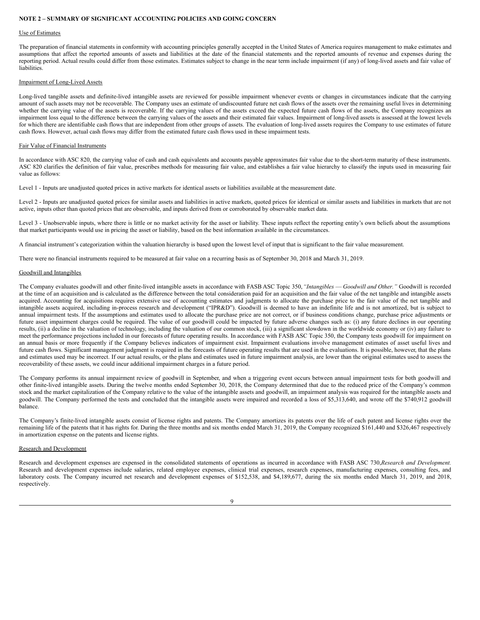## **NOTE 2 – SUMMARY OF SIGNIFICANT ACCOUNTING POLICIES AND GOING CONCERN**

#### Use of Estimates

The preparation of financial statements in conformity with accounting principles generally accepted in the United States of America requires management to make estimates and assumptions that affect the reported amounts of assets and liabilities at the date of the financial statements and the reported amounts of revenue and expenses during the reporting period. Actual results could differ from those estimates. Estimates subject to change in the near term include impairment (if any) of long-lived assets and fair value of liabilities.

#### Impairment of Long-Lived Assets

Long-lived tangible assets and definite-lived intangible assets are reviewed for possible impairment whenever events or changes in circumstances indicate that the carrying amount of such assets may not be recoverable. The Company uses an estimate of undiscounted future net cash flows of the assets over the remaining useful lives in determining whether the carrying value of the assets is recoverable. If the carrying values of the assets exceed the expected future cash flows of the assets, the Company recognizes an impairment loss equal to the difference between the carrying values of the assets and their estimated fair values. Impairment of long-lived assets is assessed at the lowest levels for which there are identifiable cash flows that are independent from other groups of assets. The evaluation of long-lived assets requires the Company to use estimates of future cash flows. However, actual cash flows may differ from the estimated future cash flows used in these impairment tests.

#### Fair Value of Financial Instruments

In accordance with ASC 820, the carrying value of cash and cash equivalents and accounts payable approximates fair value due to the short-term maturity of these instruments. ASC 820 clarifies the definition of fair value, prescribes methods for measuring fair value, and establishes a fair value hierarchy to classify the inputs used in measuring fair value as follows:

Level 1 - Inputs are unadjusted quoted prices in active markets for identical assets or liabilities available at the measurement date.

Level 2 - Inputs are unadjusted quoted prices for similar assets and liabilities in active markets, quoted prices for identical or similar assets and liabilities in markets that are not active, inputs other than quoted prices that are observable, and inputs derived from or corroborated by observable market data.

Level 3 - Unobservable inputs, where there is little or no market activity for the asset or liability. These inputs reflect the reporting entity's own beliefs about the assumptions that market participants would use in pricing the asset or liability, based on the best information available in the circumstances.

A financial instrument's categorization within the valuation hierarchy is based upon the lowest level of input that is significant to the fair value measurement.

There were no financial instruments required to be measured at fair value on a recurring basis as of September 30, 2018 and March 31, 2019.

#### Goodwill and Intangibles

The Company evaluates goodwill and other finite-lived intangible assets in accordance with FASB ASC Topic 350,*"Intangibles* — *Goodwill and Other."* Goodwill is recorded at the time of an acquisition and is calculated as the difference between the total consideration paid for an acquisition and the fair value of the net tangible and intangible assets acquired. Accounting for acquisitions requires extensive use of accounting estimates and judgments to allocate the purchase price to the fair value of the net tangible and intangible assets acquired, including in-process research and development ("IPR&D"). Goodwill is deemed to have an indefinite life and is not amortized, but is subject to annual impairment tests. If the assumptions and estimates used to allocate the purchase price are not correct, or if business conditions change, purchase price adjustments or future asset impairment charges could be required. The value of our goodwill could be impacted by future adverse changes such as: (i) any future declines in our operating results, (ii) a decline in the valuation of technology, including the valuation of our common stock, (iii) a significant slowdown in the worldwide economy or (iv) any failure to meet the performance projections included in our forecasts of future operating results. In accordance with FASB ASC Topic 350, the Company tests goodwill for impairment on an annual basis or more frequently if the Company believes indicators of impairment exist. Impairment evaluations involve management estimates of asset useful lives and future cash flows. Significant management judgment is required in the forecasts of future operating results that are used in the evaluations. It is possible, however, that the plans and estimates used may be incorrect. If our actual results, or the plans and estimates used in future impairment analysis, are lower than the original estimates used to assess the recoverability of these assets, we could incur additional impairment charges in a future period.

The Company performs its annual impairment review of goodwill in September, and when a triggering event occurs between annual impairment tests for both goodwill and other finite-lived intangible assets. During the twelve months ended September 30, 2018, the Company determined that due to the reduced price of the Company's common stock and the market capitalization of the Company relative to the value of the intangible assets and goodwill, an impairment analysis was required for the intangible assets and goodwill. The Company performed the tests and concluded that the intangible assets were impaired and recorded a loss of \$5,313,640, and wrote off the \$740,912 goodwill balance.

The Company's finite-lived intangible assets consist of license rights and patents. The Company amortizes its patents over the life of each patent and license rights over the remaining life of the patents that it has rights for. During the three months and six months ended March 31, 2019, the Company recognized \$161,440 and \$326,467 respectively in amortization expense on the patents and license rights.

## Research and Development

Research and development expenses are expensed in the consolidated statements of operations as incurred in accordance with FASB ASC 730,*Research and Development.* Research and development expenses include salaries, related employee expenses, clinical trial expenses, research expenses, manufacturing expenses, consulting fees, and laboratory costs. The Company incurred net research and development expenses of \$152,538, and \$4,189,677, during the six months ended March 31, 2019, and 2018, respectively.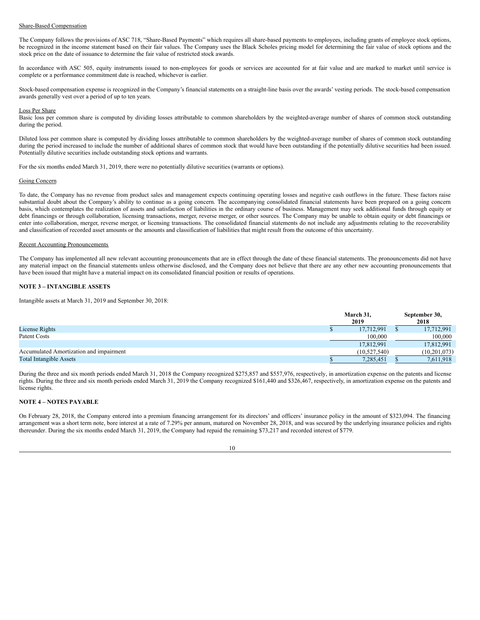## Share-Based Compensation

The Company follows the provisions of ASC 718, "Share-Based Payments" which requires all share-based payments to employees, including grants of employee stock options, be recognized in the income statement based on their fair values. The Company uses the Black Scholes pricing model for determining the fair value of stock options and the stock price on the date of issuance to determine the fair value of restricted stock awards.

In accordance with ASC 505, equity instruments issued to non-employees for goods or services are accounted for at fair value and are marked to market until service is complete or a performance commitment date is reached, whichever is earlier.

Stock-based compensation expense is recognized in the Company's financial statements on a straight-line basis over the awards' vesting periods. The stock-based compensation awards generally vest over a period of up to ten years.

#### Loss Per Share

Basic loss per common share is computed by dividing losses attributable to common shareholders by the weighted-average number of shares of common stock outstanding during the period.

Diluted loss per common share is computed by dividing losses attributable to common shareholders by the weighted-average number of shares of common stock outstanding during the period increased to include the number of additional shares of common stock that would have been outstanding if the potentially dilutive securities had been issued. Potentially dilutive securities include outstanding stock options and warrants.

For the six months ended March 31, 2019, there were no potentially dilutive securities (warrants or options).

#### Going Concern

To date, the Company has no revenue from product sales and management expects continuing operating losses and negative cash outflows in the future. These factors raise substantial doubt about the Company's ability to continue as a going concern. The accompanying consolidated financial statements have been prepared on a going concern basis, which contemplates the realization of assets and satisfaction of liabilities in the ordinary course of business. Management may seek additional funds through equity or debt financings or through collaboration, licensing transactions, merger, reverse merger, or other sources. The Company may be unable to obtain equity or debt financings or enter into collaboration, merger, reverse merger, or licensing transactions. The consolidated financial statements do not include any adjustments relating to the recoverability and classification of recorded asset amounts or the amounts and classification of liabilities that might result from the outcome of this uncertainty.

## Recent Accounting Pronouncements

The Company has implemented all new relevant accounting pronouncements that are in effect through the date of these financial statements. The pronouncements did not have any material impact on the financial statements unless otherwise disclosed, and the Company does not believe that there are any other new accounting pronouncements that have been issued that might have a material impact on its consolidated financial position or results of operations.

## **NOTE 3 – INTANGIBLE ASSETS**

Intangible assets at March 31, 2019 and September 30, 2018:

|                                         | March 31,<br>2019 |                |  | September 30,<br>2018 |
|-----------------------------------------|-------------------|----------------|--|-----------------------|
| License Rights                          |                   | 17,712,991     |  | 17,712,991            |
| Patent Costs                            |                   | 100,000        |  | 100,000               |
|                                         |                   | 17,812,991     |  | 17,812,991            |
| Accumulated Amortization and impairment |                   | (10, 527, 540) |  | (10,201,073)          |
| <b>Total Intangible Assets</b>          |                   | 7,285,451      |  | 7,611,918             |

During the three and six month periods ended March 31, 2018 the Company recognized \$275,857 and \$557,976, respectively, in amortization expense on the patents and license rights. During the three and six month periods ended March 31, 2019 the Company recognized \$161,440 and \$326,467, respectively, in amortization expense on the patents and license rights.

## **NOTE 4 – NOTES PAYABLE**

On February 28, 2018, the Company entered into a premium financing arrangement for its directors' and officers' insurance policy in the amount of \$323,094. The financing arrangement was a short term note, bore interest at a rate of 7.29% per annum, matured on November 28, 2018, and was secured by the underlying insurance policies and rights thereunder. During the six months ended March 31, 2019, the Company had repaid the remaining \$73,217 and recorded interest of \$779.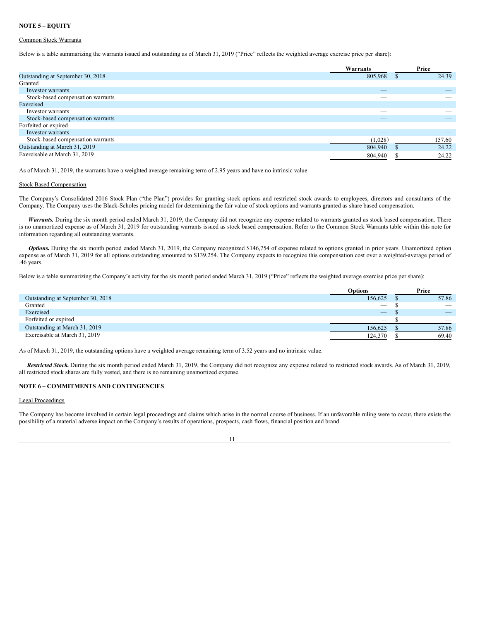## **NOTE 5 – EQUITY**

## Common Stock Warrants

Below is a table summarizing the warrants issued and outstanding as of March 31, 2019 ("Price" reflects the weighted average exercise price per share):

|                                   | Warrants                 | Price  |
|-----------------------------------|--------------------------|--------|
| Outstanding at September 30, 2018 | 805,968                  | 24.39  |
| Granted                           |                          |        |
| Investor warrants                 | $\qquad \qquad - \qquad$ |        |
| Stock-based compensation warrants | $\overline{\phantom{a}}$ |        |
| Exercised                         |                          |        |
| Investor warrants                 | $\overline{\phantom{a}}$ |        |
| Stock-based compensation warrants | $\overline{\phantom{a}}$ |        |
| Forfeited or expired              |                          |        |
| Investor warrants                 | $\overline{\phantom{a}}$ | _      |
| Stock-based compensation warrants | (1,028)                  | 157.60 |
| Outstanding at March 31, 2019     | 804,940                  | 24.22  |
| Exercisable at March 31, 2019     | 804,940                  | 24.22  |

As of March 31, 2019, the warrants have a weighted average remaining term of 2.95 years and have no intrinsic value.

#### Stock Based Compensation

The Company's Consolidated 2016 Stock Plan ("the Plan") provides for granting stock options and restricted stock awards to employees, directors and consultants of the Company. The Company uses the Black-Scholes pricing model for determining the fair value of stock options and warrants granted as share based compensation.

Warrants. During the six month period ended March 31, 2019, the Company did not recognize any expense related to warrants granted as stock based compensation. There is no unamortized expense as of March 31, 2019 for outstanding warrants issued as stock based compensation. Refer to the Common Stock Warrants table within this note for information regarding all outstanding warrants.

*Options.* During the six month period ended March 31, 2019, the Company recognized \$146,754 of expense related to options granted in prior years. Unamortized option expense as of March 31, 2019 for all options outstanding amounted to \$139,254. The Company expects to recognize this compensation cost over a weighted-average period of .46 years.

Below is a table summarizing the Company's activity for the six month period ended March 31, 2019 ("Price" reflects the weighted average exercise price per share):

|                                   | Options                         | Price                    |
|-----------------------------------|---------------------------------|--------------------------|
| Outstanding at September 30, 2018 | 156,625                         | 57.86                    |
| Granted                           | $\overbrace{\qquad \qquad }^{}$ | $\overline{\phantom{a}}$ |
| Exercised                         | $\hspace{0.1mm}-\hspace{0.1mm}$ | $\overline{\phantom{a}}$ |
| Forfeited or expired              | $\overline{\phantom{a}}$        | $\overline{\phantom{a}}$ |
| Outstanding at March 31, 2019     | 156,625                         | 57.86                    |
| Exercisable at March 31, 2019     | 124,370                         | 69.40                    |
|                                   |                                 |                          |

As of March 31, 2019, the outstanding options have a weighted average remaining term of 3.52 years and no intrinsic value.

*Restricted Stock.* During the six month period ended March 31, 2019, the Company did not recognize any expense related to restricted stock awards. As of March 31, 2019, all restricted stock shares are fully vested, and there is no remaining unamortized expense.

## **NOTE 6 – COMMITMENTS AND CONTINGENCIES**

## Legal Proceedings

The Company has become involved in certain legal proceedings and claims which arise in the normal course of business. If an unfavorable ruling were to occur, there exists the possibility of a material adverse impact on the Company's results of operations, prospects, cash flows, financial position and brand.

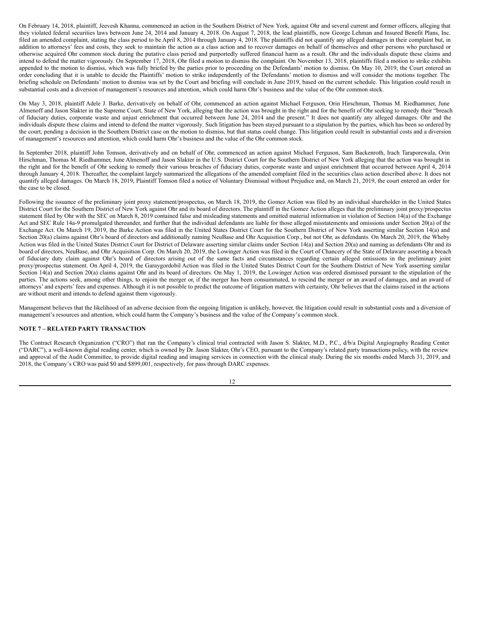On February 14, 2018, plaintiff, Jeevesh Khanna, commenced an action in the Southern District of New York, against Ohr and several current and former officers, alleging that they violated federal securities laws between June 24, 2014 and January 4, 2018. On August 7, 2018, the lead plaintiffs, now George Lehman and Insured Benefit Plans, Inc. filed an amended complaint, stating the class period to be April 8, 2014 through January 4, 2018. The plaintiffs did not quantify any alleged damages in their complaint but, in addition to attorneys' fees and costs, they seek to maintain the action as a class action and to recover damages on behalf of themselves and other persons who purchased or otherwise acquired Ohr common stock during the putative class period and purportedly suffered financial harm as a result. Ohr and the individuals dispute these claims and intend to defend the matter vigorously. On September 17, 2018, Ohr filed a motion to dismiss the complaint. On November 13, 2018, plaintiffs filed a motion to strike exhibits appended to the motion to dismiss, which was fully briefed by the parties prior to proceeding on the Defendants' motion to dismiss. On May 10, 2019, the Court entered an order concluding that it is unable to decide the Plaintiffs' motion to strike independently of the Defendants' motion to dismiss and will consider the motions together. The briefing schedule on Defendants' motion to dismiss was set by the Court and briefing will conclude in June 2019, based on the current schedule. This litigation could result in substantial costs and a diversion of management's resources and attention, which could harm Ohr's business and the value of the Ohr common stock.

On May 3, 2018, plaintiff Adele J. Barke, derivatively on behalf of Ohr, commenced an action against Michael Ferguson, Orin Hirschman, Thomas M. Riedhammer, June Almenoff and Jason Slakter in the Supreme Court, State of New York, alleging that the action was brought in the right and for the benefit of Ohr seeking to remedy their "breach of fiduciary duties, corporate waste and unjust enrichment that occurred between June 24, 2014 and the present." It does not quantify any alleged damages. Ohr and the individuals dispute these claims and intend to defend the matter vigorously. Such litigation has been stayed pursuant to a stipulation by the parties, which has been so ordered by the court, pending a decision in the Southern District case on the motion to dismiss, but that status could change. This litigation could result in substantial costs and a diversion of management's resources and attention, which could harm Ohr's business and the value of the Ohr common stock.

In September 2018, plaintiff John Tomson, derivatively and on behalf of Ohr, commenced an action against Michael Ferguson, Sam Backenroth, Irach Taraporewala, Orin Hirschman, Thomas M. Riedhammer, June Almenoff and Jason Slakter in the U.S. District Court for the Southern District of New York alleging that the action was brought in the right and for the benefit of Ohr seeking to remedy their various breaches of fiduciary duties, corporate waste and unjust enrichment that occurred between April 4, 2014 through January 4, 2018. Thereafter, the complaint largely summarized the allegations of the amended complaint filed in the securities class action described above. It does not quantify alleged damages. On March 18, 2019, Plaintiff Tomson filed a notice of Voluntary Dismissal without Prejudice and, on March 21, 2019, the court entered an order for the case to be closed.

Following the issuance of the preliminary joint proxy statement/prospectus, on March 18, 2019, the Gomez Action was filed by an individual shareholder in the United States District Court for the Southern District of New York against Ohr and its board of directors. The plaintiff in the Gomez Action alleges that the preliminary joint proxy/prospectus statement filed by Ohr with the SEC on March 8, 2019 contained false and misleading statements and omitted material information in violation of Section 14(a) of the Exchange Act and SEC Rule 14a-9 promulgated thereunder, and further that the individual defendants are liable for those alleged misstatements and omissions under Section 20(a) of the Exchange Act. On March 19, 2019, the Barke Action was filed in the United States District Court for the Southern District of New York asserting similar Section 14(a) and Section 20(a) claims against Ohr's board of directors and additionally naming NeuBase and Ohr Acquisition Corp., but not Ohr, as defendants. On March 20, 2019, the Wheby Action was filed in the United States District Court for District of Delaware asserting similar claims under Section 14(a) and Section 20(a) and naming as defendants Ohr and its board of directors, NeuBase, and Ohr Acquisition Corp. On March 20, 2019, the Lowinger Action was filed in the Court of Chancery of the State of Delaware asserting a breach of fiduciary duty claim against Ohr's board of directors arising out of the same facts and circumstances regarding certain alleged omissions in the preliminary joint proxy/prospectus statement. On April 4, 2019, the Garaygordobil Action was filed in the United States District Court for the Southern District of New York asserting similar Section 14(a) and Section 20(a) claims against Ohr and its board of directors. On May 1, 2019, the Lowinger Action was ordered dismissed pursuant to the stipulation of the parties. The actions seek, among other things, to enjoin the merger or, if the merger has been consummated, to rescind the merger or an award of damages, and an award of attorneys' and experts' fees and expenses. Although it is not possible to predict the outcome of litigation matters with certainty, Ohr believes that the claims raised in the actions are without merit and intends to defend against them vigorously.

Management believes that the likelihood of an adverse decision from the ongoing litigation is unlikely, however, the litigation could result in substantial costs and a diversion of management's resources and attention, which could harm the Company's business and the value of the Company's common stock.

## **NOTE 7 – RELATED PARTY TRANSACTION**

The Contract Research Organization ("CRO") that ran the Company's clinical trial contracted with Jason S. Slakter, M.D., P.C., d/b/a Digital Angiography Reading Center ("DARC"), a well-known digital reading center, which is owned by Dr. Jason Slakter, Ohr's CEO, pursuant to the Company's related party transactions policy, with the review and approval of the Audit Committee, to provide digital reading and imaging services in connection with the clinical study. During the six months ended March 31, 2019, and 2018, the Company's CRO was paid \$0 and \$899,001, respectively, for pass through DARC expenses.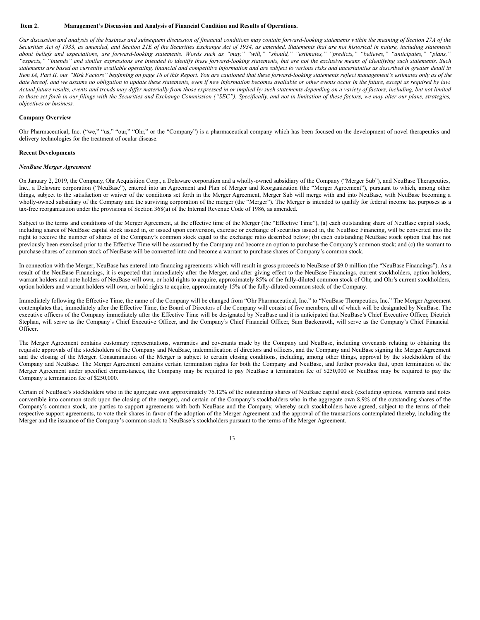## <span id="page-12-0"></span>**Item 2. Management's Discussion and Analysis of Financial Condition and Results of Operations.**

Our discussion and analysis of the business and subsequent discussion of financial conditions may contain forward-looking statements within the meaning of Section 27A of the Securities Act of 1933, as amended, and Section 21E of the Securities Exchange Act of 1934, as amended. Statements that are not historical in nature, including statements about beliefs and expectations, are forward-looking statements. Words such as "may," "will," "should," "estimates," "predicts," "believes," "anticipates," "plans," "expects," "intends" and similar expressions are intended to identify these forward-looking statements, but are not the exclusive means of identifying such statements. Such statements are based on currently available operating, financial and competitive information and are subject to various risks and uncertainties as described in greater detail in Item IA, Part II, our "Risk Factors" beginning on page 18 of this Report. You are cautioned that these forward-looking statements reflect management's estimates only as of the date hereof, and we assume no obligation to update these statements, even if new information becomes available or other events occur in the future, except as required by law. Actual future results, events and trends may differ materially from those expressed in or implied by such statements depending on a variety of factors, including, but not limited to those set forth in our filings with the Securities and Exchange Commission ("SEC"). Specifically, and not in limitation of these factors, we may alter our plans, strategies, *objectives or business.*

#### **Company Overview**

Ohr Pharmaceutical, Inc. ("we," "us," "our," "Ohr," or the "Company") is a pharmaceutical company which has been focused on the development of novel therapeutics and delivery technologies for the treatment of ocular disease.

#### **Recent Developments**

#### *NeuBase Merger Agreement*

On January 2, 2019, the Company, Ohr Acquisition Corp., a Delaware corporation and a wholly-owned subsidiary of the Company ("Merger Sub"), and NeuBase Therapeutics, Inc., a Delaware corporation ("NeuBase"), entered into an Agreement and Plan of Merger and Reorganization (the "Merger Agreement"), pursuant to which, among other things, subject to the satisfaction or waiver of the conditions set forth in the Merger Agreement, Merger Sub will merge with and into NeuBase, with NeuBase becoming a wholly-owned subsidiary of the Company and the surviving corporation of the merger (the "Merger"). The Merger is intended to qualify for federal income tax purposes as a tax-free reorganization under the provisions of Section 368(a) of the Internal Revenue Code of 1986, as amended.

Subject to the terms and conditions of the Merger Agreement, at the effective time of the Merger (the "Effective Time"), (a) each outstanding share of NeuBase capital stock, including shares of NeuBase capital stock issued in, or issued upon conversion, exercise or exchange of securities issued in, the NeuBase Financing, will be converted into the right to receive the number of shares of the Company's common stock equal to the exchange ratio described below; (b) each outstanding NeuBase stock option that has not previously been exercised prior to the Effective Time will be assumed by the Company and become an option to purchase the Company's common stock; and (c) the warrant to purchase shares of common stock of NeuBase will be converted into and become a warrant to purchase shares of Company's common stock.

In connection with the Merger, NeuBase has entered into financing agreements which will result in gross proceeds to NeuBase of \$9.0 million (the "NeuBase Financings"). As a result of the NeuBase Financings, it is expected that immediately after the Merger, and after giving effect to the NeuBase Financings, current stockholders, option holders, warrant holders and note holders of NeuBase will own, or hold rights to acquire, approximately 85% of the fully-diluted common stock of Ohr, and Ohr's current stockholders, option holders and warrant holders will own, or hold rights to acquire, approximately 15% of the fully-diluted common stock of the Company.

Immediately following the Effective Time, the name of the Company will be changed from "Ohr Pharmaceutical, Inc." to "NeuBase Therapeutics, Inc." The Merger Agreement contemplates that, immediately after the Effective Time, the Board of Directors of the Company will consist of five members, all of which will be designated by NeuBase. The executive officers of the Company immediately after the Effective Time will be designated by NeuBase and it is anticipated that NeuBase's Chief Executive Officer, Dietrich Stephan, will serve as the Company's Chief Executive Officer, and the Company's Chief Financial Officer, Sam Backenroth, will serve as the Company's Chief Financial Officer.

The Merger Agreement contains customary representations, warranties and covenants made by the Company and NeuBase, including covenants relating to obtaining the requisite approvals of the stockholders of the Company and NeuBase, indemnification of directors and officers, and the Company and NeuBase signing the Merger Agreement and the closing of the Merger. Consummation of the Merger is subject to certain closing conditions, including, among other things, approval by the stockholders of the Company and NeuBase. The Merger Agreement contains certain termination rights for both the Company and NeuBase, and further provides that, upon termination of the Merger Agreement under specified circumstances, the Company may be required to pay NeuBase a termination fee of \$250,000 or NeuBase may be required to pay the Company a termination fee of \$250,000.

Certain of NeuBase's stockholders who in the aggregate own approximately 76.12% of the outstanding shares of NeuBase capital stock (excluding options, warrants and notes convertible into common stock upon the closing of the merger), and certain of the Company's stockholders who in the aggregate own 8.9% of the outstanding shares of the Company's common stock, are parties to support agreements with both NeuBase and the Company, whereby such stockholders have agreed, subject to the terms of their respective support agreements, to vote their shares in favor of the adoption of the Merger Agreement and the approval of the transactions contemplated thereby, including the Merger and the issuance of the Company's common stock to NeuBase's stockholders pursuant to the terms of the Merger Agreement.

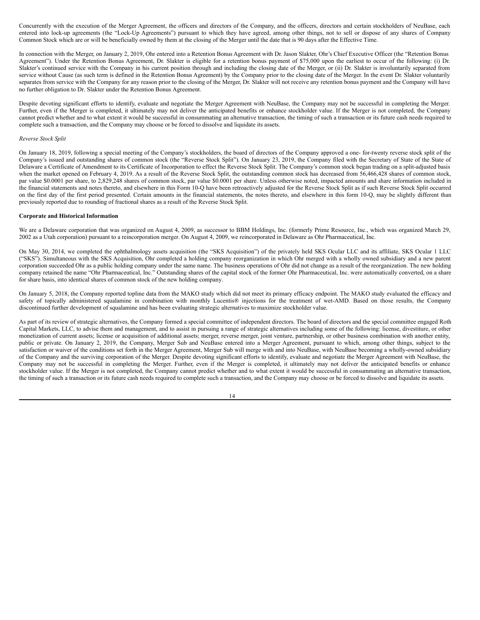Concurrently with the execution of the Merger Agreement, the officers and directors of the Company, and the officers, directors and certain stockholders of NeuBase, each entered into lock-up agreements (the "Lock-Up Agreements") pursuant to which they have agreed, among other things, not to sell or dispose of any shares of Company Common Stock which are or will be beneficially owned by them at the closing of the Merger until the date that is 90 days after the Effective Time.

In connection with the Merger, on January 2, 2019, Ohr entered into a Retention Bonus Agreement with Dr. Jason Slakter, Ohr's Chief Executive Officer (the "Retention Bonus Agreement"). Under the Retention Bonus Agreement, Dr. Slakter is eligible for a retention bonus payment of \$75,000 upon the earliest to occur of the following: (i) Dr. Slakter's continued service with the Company in his current position through and including the closing date of the Merger, or (ii) Dr. Slakter is involuntarily separated from service without Cause (as such term is defined in the Retention Bonus Agreement) by the Company prior to the closing date of the Merger. In the event Dr. Slakter voluntarily separates from service with the Company for any reason prior to the closing of the Merger, Dr. Slakter will not receive any retention bonus payment and the Company will have no further obligation to Dr. Slakter under the Retention Bonus Agreement.

Despite devoting significant efforts to identify, evaluate and negotiate the Merger Agreement with NeuBase, the Company may not be successful in completing the Merger. Further, even if the Merger is completed, it ultimately may not deliver the anticipated benefits or enhance stockholder value. If the Merger is not completed, the Company cannot predict whether and to what extent it would be successful in consummating an alternative transaction, the timing of such a transaction or its future cash needs required to complete such a transaction, and the Company may choose or be forced to dissolve and liquidate its assets.

#### *Reverse Stock Split*

On January 18, 2019, following a special meeting of the Company's stockholders, the board of directors of the Company approved a one- for-twenty reverse stock split of the Company's issued and outstanding shares of common stock (the "Reverse Stock Split"). On January 23, 2019, the Company filed with the Secretary of State of the State of Delaware a Certificate of Amendment to its Certificate of Incorporation to effect the Reverse Stock Split. The Company's common stock began trading on a split-adjusted basis when the market opened on February 4, 2019. As a result of the Reverse Stock Split, the outstanding common stock has decreased from 56,466,428 shares of common stock, par value \$0.0001 per share, to 2,829,248 shares of common stock, par value \$0.0001 per share. Unless otherwise noted, impacted amounts and share information included in the financial statements and notes thereto, and elsewhere in this Form 10-Q have been retroactively adjusted for the Reverse Stock Split as if such Reverse Stock Split occurred on the first day of the first period presented. Certain amounts in the financial statements, the notes thereto, and elsewhere in this form 10-Q, may be slightly different than previously reported due to rounding of fractional shares as a result of the Reverse Stock Split.

#### **Corporate and Historical Information**

We are a Delaware corporation that was organized on August 4, 2009, as successor to BBM Holdings, Inc. (formerly Prime Resource, Inc., which was organized March 29, 2002 as a Utah corporation) pursuant to a reincorporation merger. On August 4, 2009, we reincorporated in Delaware as Ohr Pharmaceutical, Inc.

On May 30, 2014, we completed the ophthalmology assets acquisition (the "SKS Acquisition") of the privately held SKS Ocular LLC and its affiliate, SKS Ocular 1 LLC ("SKS"). Simultaneous with the SKS Acquisition, Ohr completed a holding company reorganization in which Ohr merged with a wholly owned subsidiary and a new parent corporation succeeded Ohr as a public holding company under the same name. The business operations of Ohr did not change as a result of the reorganization. The new holding company retained the name "Ohr Pharmaceutical, Inc." Outstanding shares of the capital stock of the former Ohr Pharmaceutical, Inc. were automatically converted, on a share for share basis, into identical shares of common stock of the new holding company.

On January 5, 2018, the Company reported topline data from the MAKO study which did not meet its primary efficacy endpoint. The MAKO study evaluated the efficacy and safety of topically administered squalamine in combination with monthly Lucentis® injections for the treatment of wet-AMD. Based on those results, the Company discontinued further development of squalamine and has been evaluating strategic alternatives to maximize stockholder value.

As part of its review of strategic alternatives, the Company formed a special committee of independent directors. The board of directors and the special committee engaged Roth Capital Markets, LLC, to advise them and management, and to assist in pursuing a range of strategic alternatives including some of the following: license, divestiture, or other monetization of current assets; license or acquisition of additional assets; merger, reverse merger, joint venture, partnership, or other business combination with another entity, public or private. On January 2, 2019, the Company, Merger Sub and NeuBase entered into a Merger Agreement, pursuant to which, among other things, subject to the satisfaction or waiver of the conditions set forth in the Merger Agreement, Merger Sub will merge with and into NeuBase, with NeuBase becoming a wholly-owned subsidiary of the Company and the surviving corporation of the Merger. Despite devoting significant efforts to identify, evaluate and negotiate the Merger Agreement with NeuBase, the Company may not be successful in completing the Merger. Further, even if the Merger is completed, it ultimately may not deliver the anticipated benefits or enhance stockholder value. If the Merger is not completed, the Company cannot predict whether and to what extent it would be successful in consummating an alternative transaction, the timing of such a transaction or its future cash needs required to complete such a transaction, and the Company may choose or be forced to dissolve and liquidate its assets.

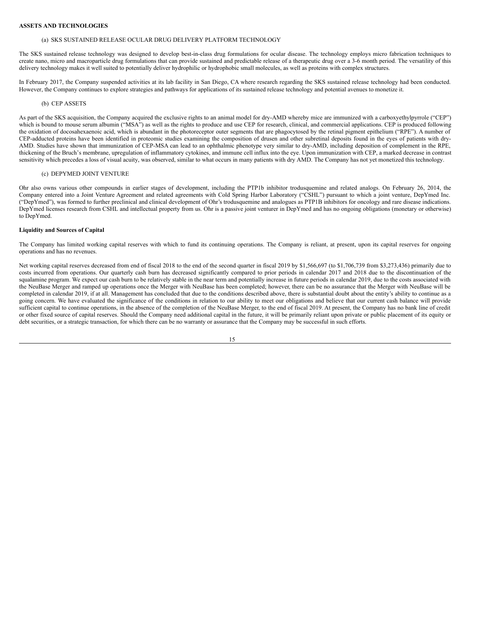## **ASSETS AND TECHNOLOGIES**

## (a) SKS SUSTAINED RELEASE OCULAR DRUG DELIVERY PLATFORM TECHNOLOGY

The SKS sustained release technology was designed to develop best-in-class drug formulations for ocular disease. The technology employs micro fabrication techniques to create nano, micro and macroparticle drug formulations that can provide sustained and predictable release of a therapeutic drug over a 3-6 month period. The versatility of this delivery technology makes it well suited to potentially deliver hydrophilic or hydrophobic small molecules, as well as proteins with complex structures.

In February 2017, the Company suspended activities at its lab facility in San Diego, CA where research regarding the SKS sustained release technology had been conducted. However, the Company continues to explore strategies and pathways for applications of its sustained release technology and potential avenues to monetize it.

#### (b) CEP ASSETS

As part of the SKS acquisition, the Company acquired the exclusive rights to an animal model for dry-AMD whereby mice are immunized with a carboxyethylpyrrole ("CEP") which is bound to mouse serum albumin ("MSA") as well as the rights to produce and use CEP for research, clinical, and commercial applications. CEP is produced following the oxidation of docosahexaenoic acid, which is abundant in the photoreceptor outer segments that are phagocytosed by the retinal pigment epithelium ("RPE"). A number of CEP-adducted proteins have been identified in proteomic studies examining the composition of drusen and other subretinal deposits found in the eyes of patients with dry-AMD. Studies have shown that immunization of CEP-MSA can lead to an ophthalmic phenotype very similar to dry-AMD, including deposition of complement in the RPE, thickening of the Bruch's membrane, upregulation of inflammatory cytokines, and immune cell influx into the eye. Upon immunization with CEP, a marked decrease in contrast sensitivity which precedes a loss of visual acuity, was observed, similar to what occurs in many patients with dry AMD. The Company has not yet monetized this technology.

## (c) DEPYMED JOINT VENTURE

Ohr also owns various other compounds in earlier stages of development, including the PTP1b inhibitor trodusquemine and related analogs. On February 26, 2014, the Company entered into a Joint Venture Agreement and related agreements with Cold Spring Harbor Laboratory ("CSHL") pursuant to which a joint venture, DepYmed Inc. ("DepYmed"), was formed to further preclinical and clinical development of Ohr's trodusquemine and analogues as PTP1B inhibitors for oncology and rare disease indications. DepYmed licenses research from CSHL and intellectual property from us. Ohr is a passive joint venturer in DepYmed and has no ongoing obligations (monetary or otherwise) to DepYmed.

## **Liquidity and Sources of Capital**

The Company has limited working capital reserves with which to fund its continuing operations. The Company is reliant, at present, upon its capital reserves for ongoing operations and has no revenues.

Net working capital reserves decreased from end of fiscal 2018 to the end of the second quarter in fiscal 2019 by \$1,566,697 (to \$1,706,739 from \$3,273,436) primarily due to costs incurred from operations. Our quarterly cash burn has decreased significantly compared to prior periods in calendar 2017 and 2018 due to the discontinuation of the squalamine program. We expect our cash burn to be relatively stable in the near term and potentially increase in future periods in calendar 2019, due to the costs associated with the NeuBase Merger and ramped up operations once the Merger with NeuBase has been completed; however, there can be no assurance that the Merger with NeuBase will be completed in calendar 2019, if at all. Management has concluded that due to the conditions described above, there is substantial doubt about the entity's ability to continue as a going concern. We have evaluated the significance of the conditions in relation to our ability to meet our obligations and believe that our current cash balance will provide sufficient capital to continue operations, in the absence of the completion of the NeuBase Merger, to the end of fiscal 2019. At present, the Company has no bank line of credit or other fixed source of capital reserves. Should the Company need additional capital in the future, it will be primarily reliant upon private or public placement of its equity or debt securities, or a strategic transaction, for which there can be no warranty or assurance that the Company may be successful in such efforts.

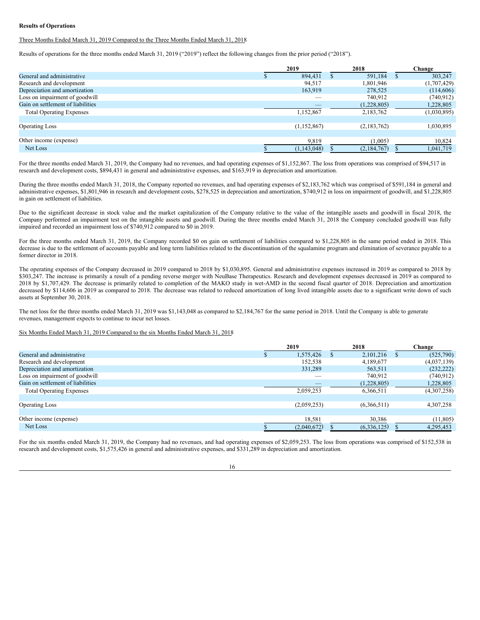## **Results of Operations**

Three Months Ended March 31, 2019 Compared to the Three Months Ended March 31, 2018

Results of operations for the three months ended March 31, 2019 ("2019") reflect the following changes from the prior period ("2018").

|                                   | 2019 |               | 2018 |                     | Change      |
|-----------------------------------|------|---------------|------|---------------------|-------------|
| General and administrative        |      | 894,431       |      | 591,184<br><b>S</b> | 303,247     |
| Research and development          |      | 94,517        |      | 1,801,946           | (1,707,429) |
| Depreciation and amortization     |      | 163,919       |      | 278,525             | (114,606)   |
| Loss on impairment of goodwill    |      | __            |      | 740,912             | (740, 912)  |
| Gain on settlement of liabilities |      |               |      | (1,228,805)         | 1,228,805   |
| <b>Total Operating Expenses</b>   |      | 1,152,867     |      | 2,183,762           | (1,030,895) |
| <b>Operating Loss</b>             |      | (1,152,867)   |      | (2,183,762)         | 1,030,895   |
| Other income (expense)            |      | 9,819         |      | (1,005)             | 10,824      |
| Net Loss                          |      | (1, 143, 048) |      | (2,184,767)         | 1,041,719   |

For the three months ended March 31, 2019, the Company had no revenues, and had operating expenses of \$1,152,867. The loss from operations was comprised of \$94,517 in research and development costs, \$894,431 in general and administrative expenses, and \$163,919 in depreciation and amortization.

During the three months ended March 31, 2018, the Company reported no revenues, and had operating expenses of \$2,183,762 which was comprised of \$591,184 in general and administrative expenses, \$1,801,946 in research and development costs, \$278,525 in depreciation and amortization, \$740,912 in loss on impairment of goodwill, and \$1,228,805 in gain on settlement of liabilities.

Due to the significant decrease in stock value and the market capitalization of the Company relative to the value of the intangible assets and goodwill in fiscal 2018, the Company performed an impairment test on the intangible assets and goodwill. During the three months ended March 31, 2018 the Company concluded goodwill was fully impaired and recorded an impairment loss of \$740,912 compared to \$0 in 2019.

For the three months ended March 31, 2019, the Company recorded \$0 on gain on settlement of liabilities compared to \$1,228,805 in the same period ended in 2018. This decrease is due to the settlement of accounts payable and long term liabilities related to the discontinuation of the squalamine program and elimination of severance payable to a former director in 2018.

The operating expenses of the Company decreased in 2019 compared to 2018 by \$1,030,895. General and administrative expenses increased in 2019 as compared to 2018 by \$303,247. The increase is primarily a result of a pending reverse merger with NeuBase Therapeutics. Research and development expenses decreased in 2019 as compared to 2018 by \$1,707,429. The decrease is primarily related to completion of the MAKO study in wet-AMD in the second fiscal quarter of 2018. Depreciation and amortization decreased by \$114,606 in 2019 as compared to 2018. The decrease was related to reduced amortization of long lived intangible assets due to a significant write down of such assets at September 30, 2018.

The net loss for the three months ended March 31, 2019 was \$1,143,048 as compared to \$2,184,767 for the same period in 2018. Until the Company is able to generate revenues, management expects to continue to incur net losses.

## Six Months Ended March 31, 2019 Compared to the six Months Ended March 31, 2018

|                                   | 2019        | 2018        | Change      |
|-----------------------------------|-------------|-------------|-------------|
| General and administrative        | 1,575,426   | 2,101,216   | (525,790)   |
| Research and development          | 152,538     | 4,189,677   | (4,037,139) |
| Depreciation and amortization     | 331,289     | 563,511     | (232, 222)  |
| Loss on impairment of goodwill    |             | 740,912     | (740, 912)  |
| Gain on settlement of liabilities | __          | (1,228,805) | 1,228,805   |
| <b>Total Operating Expenses</b>   | 2,059,253   | 6,366,511   | (4,307,258) |
| <b>Operating Loss</b>             | (2,059,253) | (6,366,511) | 4,307,258   |
|                                   |             |             |             |
| Other income (expense)            | 18,581      | 30,386      | (11,805)    |
| Net Loss                          | (2,040,672) | (6,336,125) | 4,295,453   |

For the six months ended March 31, 2019, the Company had no revenues, and had operating expenses of \$2,059,253. The loss from operations was comprised of \$152,538 in research and development costs, \$1,575,426 in general and administrative expenses, and \$331,289 in depreciation and amortization.

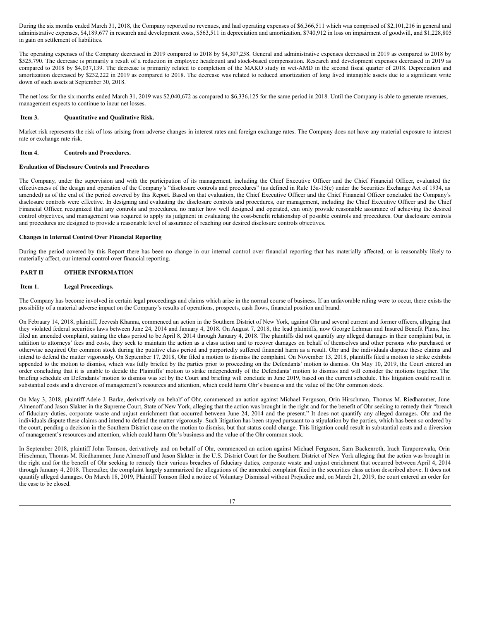<span id="page-16-4"></span>During the six months ended March 31, 2018, the Company reported no revenues, and had operating expenses of \$6,366,511 which was comprised of \$2,101,216 in general and administrative expenses, \$4,189,677 in research and development costs, \$563,511 in depreciation and amortization, \$740,912 in loss on impairment of goodwill, and \$1,228,805 in gain on settlement of liabilities.

The operating expenses of the Company decreased in 2019 compared to 2018 by \$4,307,258. General and administrative expenses decreased in 2019 as compared to 2018 by \$525,790. The decrease is primarily a result of a reduction in employee headcount and stock-based compensation. Research and development expenses decreased in 2019 as compared to 2018 by \$4,037,139. The decrease is primarily related to completion of the MAKO study in wet-AMD in the second fiscal quarter of 2018. Depreciation and amortization decreased by \$232,222 in 2019 as compared to 2018. The decrease was related to reduced amortization of long lived intangible assets due to a significant write down of such assets at September 30, 2018.

The net loss for the six months ended March 31, 2019 was \$2,040,672 as compared to \$6,336,125 for the same period in 2018. Until the Company is able to generate revenues, management expects to continue to incur net losses.

## <span id="page-16-0"></span>**Item 3. Quantitative and Qualitative Risk.**

Market risk represents the risk of loss arising from adverse changes in interest rates and foreign exchange rates. The Company does not have any material exposure to interest rate or exchange rate risk.

## <span id="page-16-1"></span>**Item 4. Controls and Procedures.**

## **Evaluation of Disclosure Controls and Procedures**

The Company, under the supervision and with the participation of its management, including the Chief Executive Officer and the Chief Financial Officer, evaluated the effectiveness of the design and operation of the Company's "disclosure controls and procedures" (as defined in Rule 13a-15(e) under the Securities Exchange Act of 1934, as amended) as of the end of the period covered by this Report. Based on that evaluation, the Chief Executive Officer and the Chief Financial Officer concluded the Company's disclosure controls were effective. In designing and evaluating the disclosure controls and procedures, our management, including the Chief Executive Officer and the Chief Financial Officer, recognized that any controls and procedures, no matter how well designed and operated, can only provide reasonable assurance of achieving the desired control objectives, and management was required to apply its judgment in evaluating the cost-benefit relationship of possible controls and procedures. Our disclosure controls and procedures are designed to provide a reasonable level of assurance of reaching our desired disclosure controls objectives.

## **Changes in Internal Control Over Financial Reporting**

During the period covered by this Report there has been no change in our internal control over financial reporting that has materially affected, or is reasonably likely to materially affect, our internal control over financial reporting.

## <span id="page-16-2"></span>**PART II OTHER INFORMATION**

## <span id="page-16-3"></span>**Item 1. Legal Proceedings.**

The Company has become involved in certain legal proceedings and claims which arise in the normal course of business. If an unfavorable ruling were to occur, there exists the possibility of a material adverse impact on the Company's results of operations, prospects, cash flows, financial position and brand.

On February 14, 2018, plaintiff, Jeevesh Khanna, commenced an action in the Southern District of New York, against Ohr and several current and former officers, alleging that they violated federal securities laws between June 24, 2014 and January 4, 2018. On August 7, 2018, the lead plaintiffs, now George Lehman and Insured Benefit Plans, Inc. filed an amended complaint, stating the class period to be April 8, 2014 through January 4, 2018. The plaintiffs did not quantify any alleged damages in their complaint but, in addition to attorneys' fees and costs, they seek to maintain the action as a class action and to recover damages on behalf of themselves and other persons who purchased or otherwise acquired Ohr common stock during the putative class period and purportedly suffered financial harm as a result. Ohr and the individuals dispute these claims and intend to defend the matter vigorously. On September 17, 2018, Ohr filed a motion to dismiss the complaint. On November 13, 2018, plaintiffs filed a motion to strike exhibits appended to the motion to dismiss, which was fully briefed by the parties prior to proceeding on the Defendants' motion to dismiss. On May 10, 2019, the Court entered an order concluding that it is unable to decide the Plaintiffs' motion to strike independently of the Defendants' motion to dismiss and will consider the motions together. The briefing schedule on Defendants' motion to dismiss was set by the Court and briefing will conclude in June 2019, based on the current schedule. This litigation could result in substantial costs and a diversion of management's resources and attention, which could harm Ohr's business and the value of the Ohr common stock.

On May 3, 2018, plaintiff Adele J. Barke, derivatively on behalf of Ohr, commenced an action against Michael Ferguson, Orin Hirschman, Thomas M. Riedhammer, June Almenoff and Jason Slakter in the Supreme Court, State of New York, alleging that the action was brought in the right and for the benefit of Ohr seeking to remedy their "breach of fiduciary duties, corporate waste and unjust enrichment that occurred between June 24, 2014 and the present." It does not quantify any alleged damages. Ohr and the individuals dispute these claims and intend to defend the matter vigorously. Such litigation has been stayed pursuant to a stipulation by the parties, which has been so ordered by the court, pending a decision in the Southern District case on the motion to dismiss, but that status could change. This litigation could result in substantial costs and a diversion of management's resources and attention, which could harm Ohr's business and the value of the Ohr common stock.

In September 2018, plaintiff John Tomson, derivatively and on behalf of Ohr, commenced an action against Michael Ferguson, Sam Backenroth, Irach Taraporewala, Orin Hirschman, Thomas M. Riedhammer, June Almenoff and Jason Slakter in the U.S. District Court for the Southern District of New York alleging that the action was brought in the right and for the benefit of Ohr seeking to remedy their various breaches of fiduciary duties, corporate waste and unjust enrichment that occurred between April 4, 2014 through January 4, 2018. Thereafter, the complaint largely summarized the allegations of the amended complaint filed in the securities class action described above. It does not quantify alleged damages. On March 18, 2019, Plaintiff Tomson filed a notice of Voluntary Dismissal without Prejudice and, on March 21, 2019, the court entered an order for the case to be closed.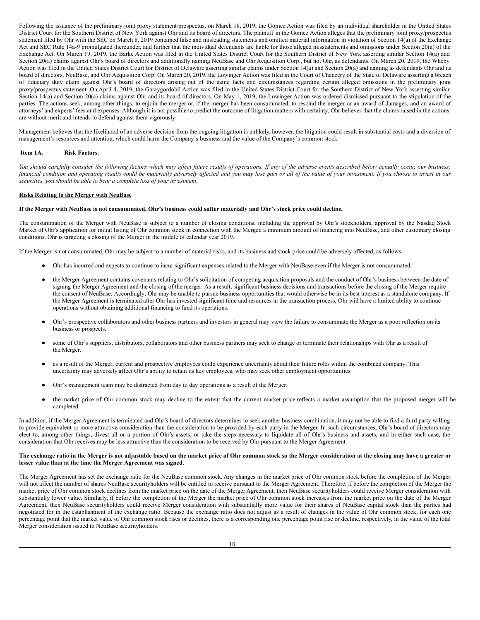Following the issuance of the preliminary joint proxy statement/prospectus, on March 18, 2019, the Gomez Action was filed by an individual shareholder in the United States District Court for the Southern District of New York against Ohr and its board of directors. The plaintiff in the Gomez Action alleges that the preliminary joint proxy/prospectus statement filed by Ohr with the SEC on March 8, 2019 contained false and misleading statements and omitted material information in violation of Section 14(a) of the Exchange Act and SEC Rule 14a-9 promulgated thereunder, and further that the individual defendants are liable for those alleged misstatements and omissions under Section 20(a) of the Exchange Act. On March 19, 2019, the Barke Action was filed in the United States District Court for the Southern District of New York asserting similar Section 14(a) and Section 20(a) claims against Ohr's board of directors and additionally naming NeuBase and Ohr Acquisition Corp., but not Ohr, as defendants. On March 20, 2019, the Wheby Action was filed in the United States District Court for District of Delaware asserting similar claims under Section 14(a) and Section 20(a) and naming as defendants Ohr and its board of directors, NeuBase, and Ohr Acquisition Corp. On March 20, 2019, the Lowinger Action was filed in the Court of Chancery of the State of Delaware asserting a breach of fiduciary duty claim against Ohr's board of directors arising out of the same facts and circumstances regarding certain alleged omissions in the preliminary joint proxy/prospectus statement. On April 4, 2019, the Garaygordobil Action was filed in the United States District Court for the Southern District of New York asserting similar Section 14(a) and Section 20(a) claims against Ohr and its board of directors. On May 1, 2019, the Lowinger Action was ordered dismissed pursuant to the stipulation of the parties. The actions seek, among other things, to enjoin the merger or, if the merger has been consummated, to rescind the merger or an award of damages, and an award of attorneys' and experts' fees and expenses. Although it is not possible to predict the outcome of litigation matters with certainty, Ohr believes that the claims raised in the actions are without merit and intends to defend against them vigorously.

Management believes that the likelihood of an adverse decision from the ongoing litigation is unlikely, however, the litigation could result in substantial costs and a diversion of management's resources and attention, which could harm the Company's business and the value of the Company's common stock

## <span id="page-17-0"></span>**Item 1A. Risk Factors.**

You should carefully consider the following factors which may affect future results of operations. If any of the adverse events described below actually occur, our business, financial condition and operating results could be materially adversely affected and you may lose part or all of the value of your investment. If you choose to invest in our *securities, you should be able to bear a complete loss of your investment.*

## **Risks Relating to the Merger with NeuBase**

#### If the Merger with NeuBase is not consummated, Ohr's business could suffer materially and Ohr's stock price could decline.

The consummation of the Merger with NeuBase is subject to a number of closing conditions, including the approval by Ohr's stockholders, approval by the Nasdaq Stock Market of Ohr's application for initial listing of Ohr common stock in connection with the Merger, a minimum amount of financing into NeuBase, and other customary closing conditions. Ohr is targeting a closing of the Merger in the middle of calendar year 2019.

If the Merger is not consummated, Ohr may be subject to a number of material risks, and its business and stock price could be adversely affected, as follows:

- Ohr has incurred and expects to continue to incur significant expenses related to the Merger with NeuBase even if the Merger is not consummated.
- the Merger Agreement contains covenants relating to Ohr's solicitation of competing acquisition proposals and the conduct of Ohr's business between the date of signing the Merger Agreement and the closing of the merger. As a result, significant business decisions and transactions before the closing of the Merger require the consent of NeuBase. Accordingly, Ohr may be unable to pursue business opportunities that would otherwise be in its best interest as a standalone company. If the Merger Agreement is terminated after Ohr has invested significant time and resources in the transaction process, Ohr will have a limited ability to continue operations without obtaining additional financing to fund its operations.
- Ohr's prospective collaborators and other business partners and investors in general may view the failure to consummate the Merger as a poor reflection on its business or prospects.
- some of Ohr's suppliers, distributors, collaborators and other business partners may seek to change or terminate their relationships with Ohr as a result of the Merger.
- as a result of the Merger, current and prospective employees could experience uncertainty about their future roles within the combined company. This uncertainty may adversely affect Ohr's ability to retain its key employees, who may seek other employment opportunities.
- Ohr's management team may be distracted from day to day operations as a result of the Merger.
- the market price of Ohr common stock may decline to the extent that the current market price reflects a market assumption that the proposed merger will be completed.

In addition, if the Merger Agreement is terminated and Ohr's board of directors determines to seek another business combination, it may not be able to find a third party willing to provide equivalent or more attractive consideration than the consideration to be provided by each party in the Merger. In such circumstances, Ohr's board of directors may elect to, among other things, divest all or a portion of Ohr's assets, or take the steps necessary to liquidate all of Ohr's business and assets, and in either such case, the consideration that Ohr receives may be less attractive than the consideration to be received by Ohr pursuant to the Merger Agreement.

#### The exchange ratio in the Merger is not adjustable based on the market price of Ohr common stock so the Merger consideration at the closing may have a greater or **lesser value than at the time the Merger Agreement was signed.**

The Merger Agreement has set the exchange ratio for the NeuBase common stock. Any changes in the market price of Ohr common stock before the completion of the Merger will not affect the number of shares NeuBase securityholders will be entitled to receive pursuant to the Merger Agreement. Therefore, if before the completion of the Merger the market price of Ohr common stock declines from the market price on the date of the Merger Agreement, then NeuBase securityholders could receive Merger consideration with substantially lower value. Similarly, if before the completion of the Merger the market price of Ohr common stock increases from the market price on the date of the Merger Agreement, then NeuBase securityholders could receive Merger consideration with substantially more value for their shares of NeuBase capital stock than the parties had negotiated for in the establishment of the exchange ratio. Because the exchange ratio does not adjust as a result of changes in the value of Ohr common stock, for each one percentage point that the market value of Ohr common stock rises or declines, there is a corresponding one percentage point rise or decline, respectively, in the value of the total Merger consideration issued to NeuBase securityholders.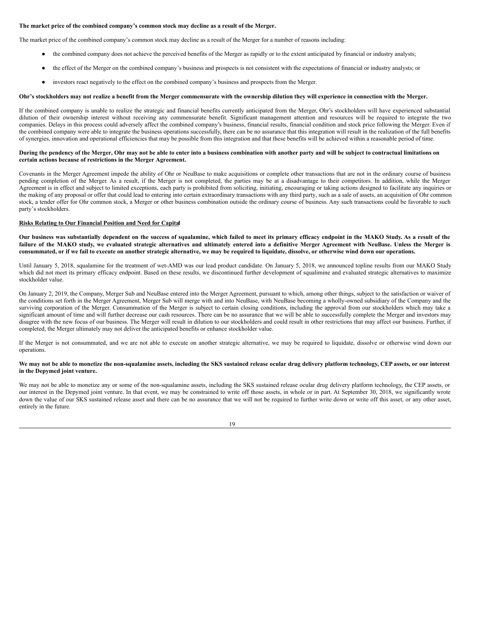## **The market price of the combined company's common stock may decline as a result of the Merger.**

The market price of the combined company's common stock may decline as a result of the Merger for a number of reasons including:

- the combined company does not achieve the perceived benefits of the Merger as rapidly or to the extent anticipated by financial or industry analysts;
- the effect of the Merger on the combined company's business and prospects is not consistent with the expectations of financial or industry analysts; or
- investors react negatively to the effect on the combined company's business and prospects from the Merger.

#### Ohr's stockholders may not realize a benefit from the Merger commensurate with the ownership dilution they will experience in connection with the Merger.

If the combined company is unable to realize the strategic and financial benefits currently anticipated from the Merger, Ohr's stockholders will have experienced substantial dilution of their ownership interest without receiving any commensurate benefit. Significant management attention and resources will be required to integrate the two companies. Delays in this process could adversely affect the combined company's business, financial results, financial condition and stock price following the Merger. Even if the combined company were able to integrate the business operations successfully, there can be no assurance that this integration will result in the realization of the full benefits of synergies, innovation and operational efficiencies that may be possible from this integration and that these benefits will be achieved within a reasonable period of time.

## During the pendency of the Merger, Ohr may not be able to enter into a business combination with another party and will be subject to contractual limitations on **certain actions because of restrictions in the Merger Agreement.**

Covenants in the Merger Agreement impede the ability of Ohr or NeuBase to make acquisitions or complete other transactions that are not in the ordinary course of business pending completion of the Merger. As a result, if the Merger is not completed, the parties may be at a disadvantage to their competitors. In addition, while the Merger Agreement is in effect and subject to limited exceptions, each party is prohibited from soliciting, initiating, encouraging or taking actions designed to facilitate any inquiries or the making of any proposal or offer that could lead to entering into certain extraordinary transactions with any third party, such as a sale of assets, an acquisition of Ohr common stock, a tender offer for Ohr common stock, a Merger or other business combination outside the ordinary course of business. Any such transactions could be favorable to such party's stockholders.

## **Risks Relating to Our Financial Position and Need for Capital**

Our business was substantially dependent on the success of squalamine, which failed to meet its primary efficacy endpoint in the MAKO Study. As a result of the failure of the MAKO study, we evaluated strategic alternatives and ultimately entered into a definitive Merger Agreement with NeuBase. Unless the Merger is consummated, or if we fail to execute on another strategic alternative, we may be required to liquidate, dissolve, or otherwise wind down our operations.

Until January 5, 2018, squalamine for the treatment of wet-AMD was our lead product candidate. On January 5, 2018, we announced topline results from our MAKO Study which did not meet its primary efficacy endpoint. Based on these results, we discontinued further development of squalimine and evaluated strategic alternatives to maximize stockholder value.

On January 2, 2019, the Company, Merger Sub and NeuBase entered into the Merger Agreement, pursuant to which, among other things, subject to the satisfaction or waiver of the conditions set forth in the Merger Agreement, Merger Sub will merge with and into NeuBase, with NeuBase becoming a wholly-owned subsidiary of the Company and the surviving corporation of the Merger. Consummation of the Merger is subject to certain closing conditions, including the approval from our stockholders which may take a significant amount of time and will further decrease our cash resources. There can be no assurance that we will be able to successfully complete the Merger and investors may disagree with the new focus of our business. The Merger will result in dilution to our stockholders and could result in other restrictions that may affect our business. Further, if completed, the Merger ultimately may not deliver the anticipated benefits or enhance stockholder value.

If the Merger is not consummated, and we are not able to execute on another strategic alternative, we may be required to liquidate, dissolve or otherwise wind down our operations.

## We may not be able to monetize the non-squalamine assets, including the SKS sustained release ocular drug delivery platform technology, CEP assets, or our interest **in the Depymed joint venture.**

We may not be able to monetize any or some of the non-squalamine assets, including the SKS sustained release ocular drug delivery platform technology, the CEP assets, or our interest in the Depymed joint venture. In that event, we may be constrained to write off those assets, in whole or in part. At September 30, 2018, we significantly wrote down the value of our SKS sustained release asset and there can be no assurance that we will not be required to further write down or write off this asset, or any other asset, entirely in the future.

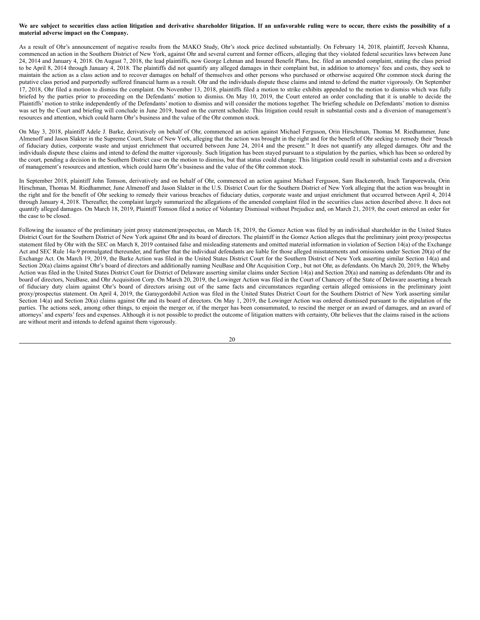## We are subject to securities class action litigation and derivative shareholder litigation. If an unfavorable ruling were to occur, there exists the possibility of a **material adverse impact on the Company.**

As a result of Ohr's announcement of negative results from the MAKO Study, Ohr's stock price declined substantially. On February 14, 2018, plaintiff, Jeevesh Khanna, commenced an action in the Southern District of New York, against Ohr and several current and former officers, alleging that they violated federal securities laws between June 24, 2014 and January 4, 2018. On August 7, 2018, the lead plaintiffs, now George Lehman and Insured Benefit Plans, Inc. filed an amended complaint, stating the class period to be April 8, 2014 through January 4, 2018. The plaintiffs did not quantify any alleged damages in their complaint but, in addition to attorneys' fees and costs, they seek to maintain the action as a class action and to recover damages on behalf of themselves and other persons who purchased or otherwise acquired Ohr common stock during the putative class period and purportedly suffered financial harm as a result. Ohr and the individuals dispute these claims and intend to defend the matter vigorously. On September 17, 2018, Ohr filed a motion to dismiss the complaint. On November 13, 2018, plaintiffs filed a motion to strike exhibits appended to the motion to dismiss which was fully briefed by the parties prior to proceeding on the Defendants' motion to dismiss. On May 10, 2019, the Court entered an order concluding that it is unable to decide the Plaintiffs' motion to strike independently of the Defendants' motion to dismiss and will consider the motions together. The briefing schedule on Defendants' motion to dismiss was set by the Court and briefing will conclude in June 2019, based on the current schedule. This litigation could result in substantial costs and a diversion of management's resources and attention, which could harm Ohr's business and the value of the Ohr common stock.

On May 3, 2018, plaintiff Adele J. Barke, derivatively on behalf of Ohr, commenced an action against Michael Ferguson, Orin Hirschman, Thomas M. Riedhammer, June Almenoff and Jason Slakter in the Supreme Court, State of New York, alleging that the action was brought in the right and for the benefit of Ohr seeking to remedy their "breach of fiduciary duties, corporate waste and unjust enrichment that occurred between June 24, 2014 and the present." It does not quantify any alleged damages. Ohr and the individuals dispute these claims and intend to defend the matter vigorously. Such litigation has been stayed pursuant to a stipulation by the parties, which has been so ordered by the court, pending a decision in the Southern District case on the motion to dismiss, but that status could change. This litigation could result in substantial costs and a diversion of management's resources and attention, which could harm Ohr's business and the value of the Ohr common stock.

In September 2018, plaintiff John Tomson, derivatively and on behalf of Ohr, commenced an action against Michael Ferguson, Sam Backenroth, Irach Taraporewala, Orin Hirschman, Thomas M. Riedhammer, June Almenoff and Jason Slakter in the U.S. District Court for the Southern District of New York alleging that the action was brought in the right and for the benefit of Ohr seeking to remedy their various breaches of fiduciary duties, corporate waste and unjust enrichment that occurred between April 4, 2014 through January 4, 2018. Thereafter, the complaint largely summarized the allegations of the amended complaint filed in the securities class action described above. It does not quantify alleged damages. On March 18, 2019, Plaintiff Tomson filed a notice of Voluntary Dismissal without Prejudice and, on March 21, 2019, the court entered an order for the case to be closed.

Following the issuance of the preliminary joint proxy statement/prospectus, on March 18, 2019, the Gomez Action was filed by an individual shareholder in the United States District Court for the Southern District of New York against Ohr and its board of directors. The plaintiff in the Gomez Action alleges that the preliminary joint proxy/prospectus statement filed by Ohr with the SEC on March 8, 2019 contained false and misleading statements and omitted material information in violation of Section 14(a) of the Exchange Act and SEC Rule 14a-9 promulgated thereunder, and further that the individual defendants are liable for those alleged misstatements and omissions under Section 20(a) of the Exchange Act. On March 19, 2019, the Barke Action was filed in the United States District Court for the Southern District of New York asserting similar Section 14(a) and Section 20(a) claims against Ohr's board of directors and additionally naming NeuBase and Ohr Acquisition Corp., but not Ohr, as defendants. On March 20, 2019, the Wheby Action was filed in the United States District Court for District of Delaware asserting similar claims under Section 14(a) and Section 20(a) and naming as defendants Ohr and its board of directors, NeuBase, and Ohr Acquisition Corp. On March 20, 2019, the Lowinger Action was filed in the Court of Chancery of the State of Delaware asserting a breach of fiduciary duty claim against Ohr's board of directors arising out of the same facts and circumstances regarding certain alleged omissions in the preliminary joint proxy/prospectus statement. On April 4, 2019, the Garaygordobil Action was filed in the United States District Court for the Southern District of New York asserting similar Section 14(a) and Section 20(a) claims against Ohr and its board of directors. On May 1, 2019, the Lowinger Action was ordered dismissed pursuant to the stipulation of the parties. The actions seek, among other things, to enjoin the merger or, if the merger has been consummated, to rescind the merger or an award of damages, and an award of attorneys' and experts' fees and expenses. Although it is not possible to predict the outcome of litigation matters with certainty, Ohr believes that the claims raised in the actions are without merit and intends to defend against them vigorously.

20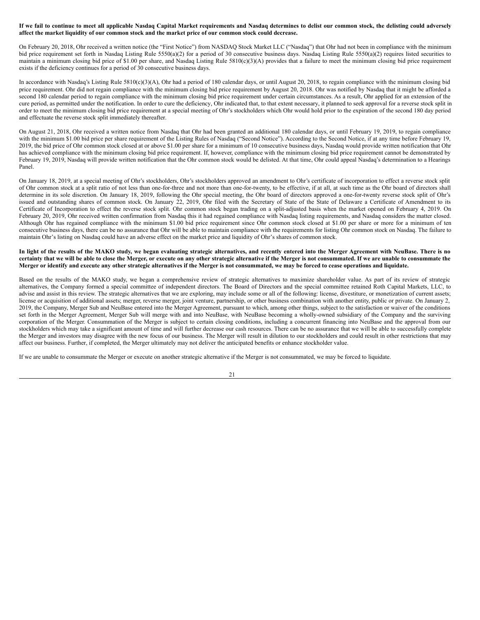## If we fail to continue to meet all applicable Nasdaq Capital Market requirements and Nasdaq determines to delist our common stock, the delisting could adversely affect the market liquidity of our common stock and the market price of our common stock could decrease.

On February 20, 2018, Ohr received a written notice (the "First Notice") from NASDAQ Stock Market LLC ("Nasdaq") that Ohr had not been in compliance with the minimum bid price requirement set forth in Nasdaq Listing Rule 5550(a)(2) for a period of 30 consecutive business days. Nasdaq Listing Rule 5550(a)(2) requires listed securities to maintain a minimum closing bid price of \$1.00 per share, and Nasdaq Listing Rule 5810(c)(3)(A) provides that a failure to meet the minimum closing bid price requirement exists if the deficiency continues for a period of 30 consecutive business days.

In accordance with Nasdaq's Listing Rule 5810(c)(3)(A), Ohr had a period of 180 calendar days, or until August 20, 2018, to regain compliance with the minimum closing bid price requirement. Ohr did not regain compliance with the minimum closing bid price requirement by August 20, 2018. Ohr was notified by Nasdaq that it might be afforded a second 180 calendar period to regain compliance with the minimum closing bid price requirement under certain circumstances. As a result, Ohr applied for an extension of the cure period, as permitted under the notification. In order to cure the deficiency, Ohr indicated that, to that extent necessary, it planned to seek approval for a reverse stock split in order to meet the minimum closing bid price requirement at a special meeting of Ohr's stockholders which Ohr would hold prior to the expiration of the second 180 day period and effectuate the reverse stock split immediately thereafter.

On August 21, 2018, Ohr received a written notice from Nasdaq that Ohr had been granted an additional 180 calendar days, or until February 19, 2019, to regain compliance with the minimum \$1.00 bid price per share requirement of the Listing Rules of Nasdaq ("Second Notice"). According to the Second Notice, if at any time before February 19, 2019, the bid price of Ohr common stock closed at or above \$1.00 per share for a minimum of 10 consecutive business days, Nasdaq would provide written notification that Ohr has achieved compliance with the minimum closing bid price requirement. If, however, compliance with the minimum closing bid price requirement cannot be demonstrated by February 19, 2019, Nasdaq will provide written notification that the Ohr common stock would be delisted. At that time, Ohr could appeal Nasdaq's determination to a Hearings Panel.

On January 18, 2019, at a special meeting of Ohr's stockholders, Ohr's stockholders approved an amendment to Ohr's certificate of incorporation to effect a reverse stock split of Ohr common stock at a split ratio of not less than one-for-three and not more than one-for-twenty, to be effective, if at all, at such time as the Ohr board of directors shall determine in its sole discretion. On January 18, 2019, following the Ohr special meeting, the Ohr board of directors approved a one-for-twenty reverse stock split of Ohr's issued and outstanding shares of common stock. On January 22, 2019, Ohr filed with the Secretary of State of the State of Delaware a Certificate of Amendment to its Certificate of Incorporation to effect the reverse stock split. Ohr common stock began trading on a split-adjusted basis when the market opened on February 4, 2019. On February 20, 2019, Ohr received written confirmation from Nasdaq this it had regained compliance with Nasdaq listing requirements, and Nasdaq considers the matter closed. Although Ohr has regained compliance with the minimum \$1.00 bid price requirement since Ohr common stock closed at \$1.00 per share or more for a minimum of ten consecutive business days, there can be no assurance that Ohr will be able to maintain compliance with the requirements for listing Ohr common stock on Nasdaq. The failure to maintain Ohr's listing on Nasdaq could have an adverse effect on the market price and liquidity of Ohr's shares of common stock.

## In light of the results of the MAKO study, we began evaluating strategic alternatives, and recently entered into the Merger Agreement with NeuBase. There is no certainty that we will be able to close the Merger, or execute on any other strategic alternative if the Merger is not consummated. If we are unable to consummate the Merger or identify and execute any other strategic alternatives if the Merger is not consummated, we may be forced to cease operations and liquidate.

Based on the results of the MAKO study, we began a comprehensive review of strategic alternatives to maximize shareholder value. As part of its review of strategic alternatives, the Company formed a special committee of independent directors. The Board of Directors and the special committee retained Roth Capital Markets, LLC, to advise and assist in this review. The strategic alternatives that we are exploring, may include some or all of the following: license, divestiture, or monetization of current assets; license or acquisition of additional assets; merger, reverse merger, joint venture, partnership, or other business combination with another entity, public or private. On January 2, 2019, the Company, Merger Sub and NeuBase entered into the Merger Agreement, pursuant to which, among other things, subject to the satisfaction or waiver of the conditions set forth in the Merger Agreement, Merger Sub will merge with and into NeuBase, with NeuBase becoming a wholly-owned subsidiary of the Company and the surviving corporation of the Merger. Consummation of the Merger is subject to certain closing conditions, including a concurrent financing into NeuBase and the approval from our stockholders which may take a significant amount of time and will further decrease our cash resources. There can be no assurance that we will be able to successfully complete the Merger and investors may disagree with the new focus of our business. The Merger will result in dilution to our stockholders and could result in other restrictions that may affect our business. Further, if completed, the Merger ultimately may not deliver the anticipated benefits or enhance stockholder value.

If we are unable to consummate the Merger or execute on another strategic alternative if the Merger is not consummated, we may be forced to liquidate.

21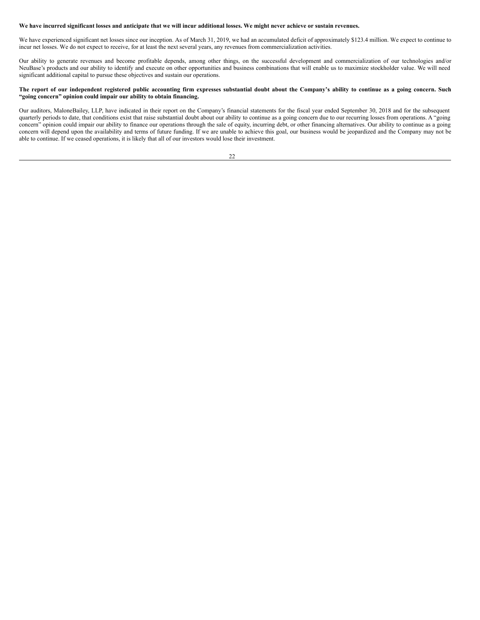## We have incurred significant losses and anticipate that we will incur additional losses. We might never achieve or sustain revenues.

We have experienced significant net losses since our inception. As of March 31, 2019, we had an accumulated deficit of approximately \$123.4 million. We expect to continue to incur net losses. We do not expect to receive, for at least the next several years, any revenues from commercialization activities.

Our ability to generate revenues and become profitable depends, among other things, on the successful development and commercialization of our technologies and/or NeuBase's products and our ability to identify and execute on other opportunities and business combinations that will enable us to maximize stockholder value. We will need significant additional capital to pursue these objectives and sustain our operations.

## The report of our independent registered public accounting firm expresses substantial doubt about the Company's ability to continue as a going concern. Such **"going concern" opinion could impair our ability to obtain financing.**

Our auditors, MaloneBailey, LLP, have indicated in their report on the Company's financial statements for the fiscal year ended September 30, 2018 and for the subsequent quarterly periods to date, that conditions exist that raise substantial doubt about our ability to continue as a going concern due to our recurring losses from operations. A "going concern" opinion could impair our ability to finance our operations through the sale of equity, incurring debt, or other financing alternatives. Our ability to continue as a going concern will depend upon the availability and terms of future funding. If we are unable to achieve this goal, our business would be jeopardized and the Company may not be able to continue. If we ceased operations, it is likely that all of our investors would lose their investment.

| I |
|---|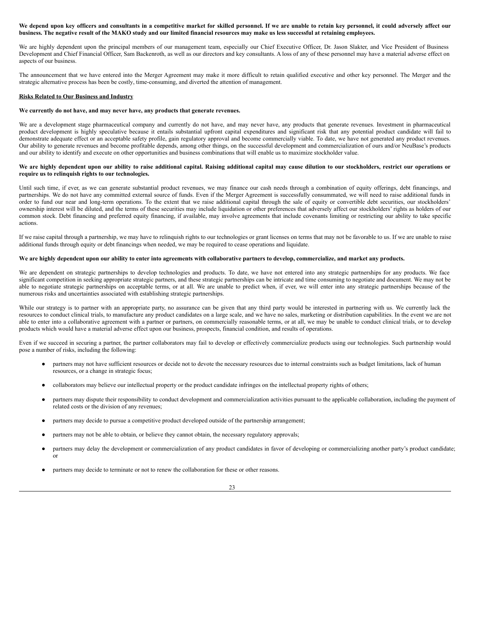## We depend upon key officers and consultants in a competitive market for skilled personnel. If we are unable to retain key personnel, it could adversely affect our business. The negative result of the MAKO study and our limited financial resources may make us less successful at retaining employees.

We are highly dependent upon the principal members of our management team, especially our Chief Executive Officer, Dr. Jason Slakter, and Vice President of Business Development and Chief Financial Officer, Sam Backenroth, as well as our directors and key consultants. A loss of any of these personnel may have a material adverse effect on aspects of our business.

The announcement that we have entered into the Merger Agreement may make it more difficult to retain qualified executive and other key personnel. The Merger and the strategic alternative process has been be costly, time-consuming, and diverted the attention of management.

## **Risks Related to Our Business and Industry**

## **We currently do not have, and may never have, any products that generate revenues.**

We are a development stage pharmaceutical company and currently do not have, and may never have, any products that generate revenues. Investment in pharmaceutical product development is highly speculative because it entails substantial upfront capital expenditures and significant risk that any potential product candidate will fail to demonstrate adequate effect or an acceptable safety profile, gain regulatory approval and become commercially viable. To date, we have not generated any product revenues. Our ability to generate revenues and become profitable depends, among other things, on the successful development and commercialization of ours and/or NeuBase's products and our ability to identify and execute on other opportunities and business combinations that will enable us to maximize stockholder value.

## We are highly dependent upon our ability to raise additional capital. Raising additional capital may cause dilution to our stockholders, restrict our operations or **require us to relinquish rights to our technologies.**

Until such time, if ever, as we can generate substantial product revenues, we may finance our cash needs through a combination of equity offerings, debt financings, and partnerships. We do not have any committed external source of funds. Even if the Merger Agreement is successfully consummated, we will need to raise additional funds in order to fund our near and long-term operations. To the extent that we raise additional capital through the sale of equity or convertible debt securities, our stockholders' ownership interest will be diluted, and the terms of these securities may include liquidation or other preferences that adversely affect our stockholders' rights as holders of our common stock. Debt financing and preferred equity financing, if available, may involve agreements that include covenants limiting or restricting our ability to take specific actions.

If we raise capital through a partnership, we may have to relinquish rights to our technologies or grant licenses on terms that may not be favorable to us. If we are unable to raise additional funds through equity or debt financings when needed, we may be required to cease operations and liquidate.

## We are highly dependent upon our ability to enter into agreements with collaborative partners to develop, commercialize, and market any products.

We are dependent on strategic partnerships to develop technologies and products. To date, we have not entered into any strategic partnerships for any products. We face significant competition in seeking appropriate strategic partners, and these strategic partnerships can be intricate and time consuming to negotiate and document. We may not be able to negotiate strategic partnerships on acceptable terms, or at all. We are unable to predict when, if ever, we will enter into any strategic partnerships because of the numerous risks and uncertainties associated with establishing strategic partnerships.

While our strategy is to partner with an appropriate party, no assurance can be given that any third party would be interested in partnering with us. We currently lack the resources to conduct clinical trials, to manufacture any product candidates on a large scale, and we have no sales, marketing or distribution capabilities. In the event we are not able to enter into a collaborative agreement with a partner or partners, on commercially reasonable terms, or at all, we may be unable to conduct clinical trials, or to develop products which would have a material adverse effect upon our business, prospects, financial condition, and results of operations.

Even if we succeed in securing a partner, the partner collaborators may fail to develop or effectively commercialize products using our technologies. Such partnership would pose a number of risks, including the following:

- partners may not have sufficient resources or decide not to devote the necessary resources due to internal constraints such as budget limitations, lack of human resources, or a change in strategic focus;
- collaborators may believe our intellectual property or the product candidate infringes on the intellectual property rights of others;
- partners may dispute their responsibility to conduct development and commercialization activities pursuant to the applicable collaboration, including the payment of related costs or the division of any revenues;
- partners may decide to pursue a competitive product developed outside of the partnership arrangement;
- partners may not be able to obtain, or believe they cannot obtain, the necessary regulatory approvals;
- partners may delay the development or commercialization of any product candidates in favor of developing or commercializing another party's product candidate; or
- partners may decide to terminate or not to renew the collaboration for these or other reasons.

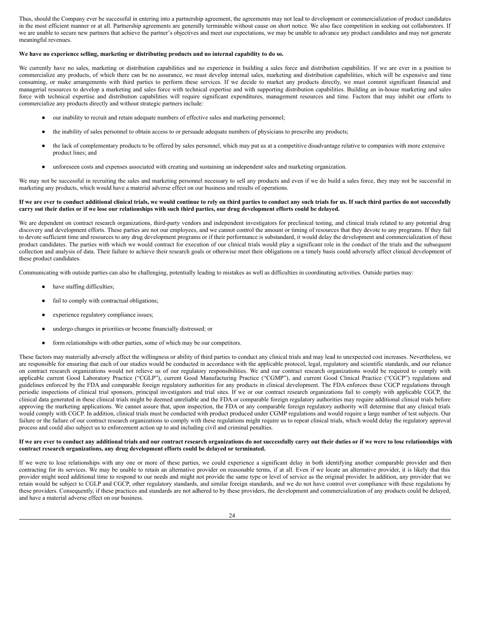Thus, should the Company ever be successful in entering into a partnership agreement, the agreements may not lead to development or commercialization of product candidates in the most efficient manner or at all. Partnership agreements are generally terminable without cause on short notice. We also face competition in seeking out collaborators. If we are unable to secure new partners that achieve the partner's objectives and meet our expectations, we may be unable to advance any product candidates and may not generate meaningful revenues.

## **We have no experience selling, marketing or distributing products and no internal capability to do so.**

We currently have no sales, marketing or distribution capabilities and no experience in building a sales force and distribution capabilities. If we are ever in a position to commercialize any products, of which there can be no assurance, we must develop internal sales, marketing and distribution capabilities, which will be expensive and time consuming, or make arrangements with third parties to perform these services. If we decide to market any products directly, we must commit significant financial and managerial resources to develop a marketing and sales force with technical expertise and with supporting distribution capabilities. Building an in-house marketing and sales force with technical expertise and distribution capabilities will require significant expenditures, management resources and time. Factors that may inhibit our efforts to commercialize any products directly and without strategic partners include:

- our inability to recruit and retain adequate numbers of effective sales and marketing personnel;
- the inability of sales personnel to obtain access to or persuade adequate numbers of physicians to prescribe any products;
- the lack of complementary products to be offered by sales personnel, which may put us at a competitive disadvantage relative to companies with more extensive product lines; and
- unforeseen costs and expenses associated with creating and sustaining an independent sales and marketing organization.

We may not be successful in recruiting the sales and marketing personnel necessary to sell any products and even if we do build a sales force, they may not be successful in marketing any products, which would have a material adverse effect on our business and results of operations.

## If we are ever to conduct additional clinical trials, we would continue to rely on third parties to conduct any such trials for us. If such third parties do not successfully carry out their duties or if we lose our relationships with such third parties, our drug development efforts could be delayed.

We are dependent on contract research organizations, third-party vendors and independent investigators for preclinical testing, and clinical trials related to any potential drug discovery and development efforts. These parties are not our employees, and we cannot control the amount or timing of resources that they devote to any programs. If they fail to devote sufficient time and resources to any drug development programs or if their performance is substandard, it would delay the development and commercialization of these product candidates. The parties with which we would contract for execution of our clinical trials would play a significant role in the conduct of the trials and the subsequent collection and analysis of data. Their failure to achieve their research goals or otherwise meet their obligations on a timely basis could adversely affect clinical development of these product candidates.

Communicating with outside parties can also be challenging, potentially leading to mistakes as well as difficulties in coordinating activities. Outside parties may:

- have staffing difficulties;
- fail to comply with contractual obligations;
- experience regulatory compliance issues;
- undergo changes in priorities or become financially distressed; or
- form relationships with other parties, some of which may be our competitors.

These factors may materially adversely affect the willingness or ability of third parties to conduct any clinical trials and may lead to unexpected cost increases. Nevertheless, we are responsible for ensuring that each of our studies would be conducted in accordance with the applicable protocol, legal, regulatory and scientific standards, and our reliance on contract research organizations would not relieve us of our regulatory responsibilities. We and our contract research organizations would be required to comply with applicable current Good Laboratory Practice ("CGLP"), current Good Manufacturing Practice ("CGMP"), and current Good Clinical Practice ("CGCP") regulations and guidelines enforced by the FDA and comparable foreign regulatory authorities for any products in clinical development. The FDA enforces these CGCP regulations through periodic inspections of clinical trial sponsors, principal investigators and trial sites. If we or our contract research organizations fail to comply with applicable CGCP, the clinical data generated in these clinical trials might be deemed unreliable and the FDA or comparable foreign regulatory authorities may require additional clinical trials before approving the marketing applications. We cannot assure that, upon inspection, the FDA or any comparable foreign regulatory authority will determine that any clinical trials would comply with CGCP. In addition, clinical trials must be conducted with product produced under CGMP regulations and would require a large number of test subjects. Our failure or the failure of our contract research organizations to comply with these regulations might require us to repeat clinical trials, which would delay the regulatory approval process and could also subject us to enforcement action up to and including civil and criminal penalties.

## If we are ever to conduct any additional trials and our contract research organizations do not successfully carry out their duties or if we were to lose relationships with **contract research organizations, any drug development efforts could be delayed or terminated.**

If we were to lose relationships with any one or more of these parties, we could experience a significant delay in both identifying another comparable provider and then contracting for its services. We may be unable to retain an alternative provider on reasonable terms, if at all. Even if we locate an alternative provider, it is likely that this provider might need additional time to respond to our needs and might not provide the same type or level of service as the original provider. In addition, any provider that we retain would be subject to CGLP and CGCP, other regulatory standards, and similar foreign standards, and we do not have control over compliance with these regulations by these providers. Consequently, if these practices and standards are not adhered to by these providers, the development and commercialization of any products could be delayed, and have a material adverse effect on our business.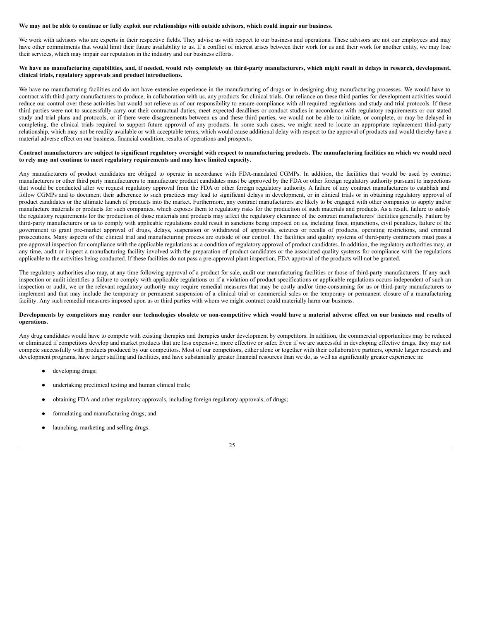#### We may not be able to continue or fully exploit our relationships with outside advisors, which could impair our business.

We work with advisors who are experts in their respective fields. They advise us with respect to our business and operations. These advisors are not our employees and may have other commitments that would limit their future availability to us. If a conflict of interest arises between their work for us and their work for another entity, we may lose their services, which may impair our reputation in the industry and our business efforts.

## We have no manufacturing capabilities, and, if needed, would rely completely on third-party manufacturers, which might result in delays in research, development, **clinical trials, regulatory approvals and product introductions.**

We have no manufacturing facilities and do not have extensive experience in the manufacturing of drugs or in designing drug manufacturing processes. We would have to contract with third-party manufacturers to produce, in collaboration with us, any products for clinical trials. Our reliance on these third parties for development activities would reduce our control over these activities but would not relieve us of our responsibility to ensure compliance with all required regulations and study and trial protocols. If these third parties were not to successfully carry out their contractual duties, meet expected deadlines or conduct studies in accordance with regulatory requirements or our stated study and trial plans and protocols, or if there were disagreements between us and these third parties, we would not be able to initiate, or complete, or may be delayed in completing, the clinical trials required to support future approval of any products. In some such cases, we might need to locate an appropriate replacement third-party relationship, which may not be readily available or with acceptable terms, which would cause additional delay with respect to the approval of products and would thereby have a material adverse effect on our business, financial condition, results of operations and prospects.

## Contract manufacturers are subject to significant regulatory oversight with respect to manufacturing products. The manufacturing facilities on which we would need **to rely may not continue to meet regulatory requirements and may have limited capacity.**

Any manufacturers of product candidates are obliged to operate in accordance with FDA-mandated CGMPs. In addition, the facilities that would be used by contract manufacturers or other third party manufacturers to manufacture product candidates must be approved by the FDA or other foreign regulatory authority pursuant to inspections that would be conducted after we request regulatory approval from the FDA or other foreign regulatory authority. A failure of any contract manufacturers to establish and follow CGMPs and to document their adherence to such practices may lead to significant delays in development, or in clinical trials or in obtaining regulatory approval of product candidates or the ultimate launch of products into the market. Furthermore, any contract manufacturers are likely to be engaged with other companies to supply and/or manufacture materials or products for such companies, which exposes them to regulatory risks for the production of such materials and products. As a result, failure to satisfy the regulatory requirements for the production of those materials and products may affect the regulatory clearance of the contract manufacturers' facilities generally. Failure by third-party manufacturers or us to comply with applicable regulations could result in sanctions being imposed on us, including fines, injunctions, civil penalties, failure of the government to grant pre-market approval of drugs, delays, suspension or withdrawal of approvals, seizures or recalls of products, operating restrictions, and criminal prosecutions. Many aspects of the clinical trial and manufacturing process are outside of our control. The facilities and quality systems of third-party contractors must pass a pre-approval inspection for compliance with the applicable regulations as a condition of regulatory approval of product candidates. In addition, the regulatory authorities may, at any time, audit or inspect a manufacturing facility involved with the preparation of product candidates or the associated quality systems for compliance with the regulations applicable to the activities being conducted. If these facilities do not pass a pre-approval plant inspection, FDA approval of the products will not be granted.

The regulatory authorities also may, at any time following approval of a product for sale, audit our manufacturing facilities or those of third-party manufacturers. If any such inspection or audit identifies a failure to comply with applicable regulations or if a violation of product specifications or applicable regulations occurs independent of such an inspection or audit, we or the relevant regulatory authority may require remedial measures that may be costly and/or time-consuming for us or third-party manufacturers to implement and that may include the temporary or permanent suspension of a clinical trial or commercial sales or the temporary or permanent closure of a manufacturing facility. Any such remedial measures imposed upon us or third parties with whom we might contract could materially harm our business.

## Developments by competitors may render our technologies obsolete or non-competitive which would have a material adverse effect on our business and results of **operations.**

Any drug candidates would have to compete with existing therapies and therapies under development by competitors. In addition, the commercial opportunities may be reduced or eliminated if competitors develop and market products that are less expensive, more effective or safer. Even if we are successful in developing effective drugs, they may not compete successfully with products produced by our competitors. Most of our competitors, either alone or together with their collaborative partners, operate larger research and development programs, have larger staffing and facilities, and have substantially greater financial resources than we do, as well as significantly greater experience in:

- developing drugs;
- undertaking preclinical testing and human clinical trials;
- obtaining FDA and other regulatory approvals, including foreign regulatory approvals, of drugs;
- formulating and manufacturing drugs; and
- launching, marketing and selling drugs.

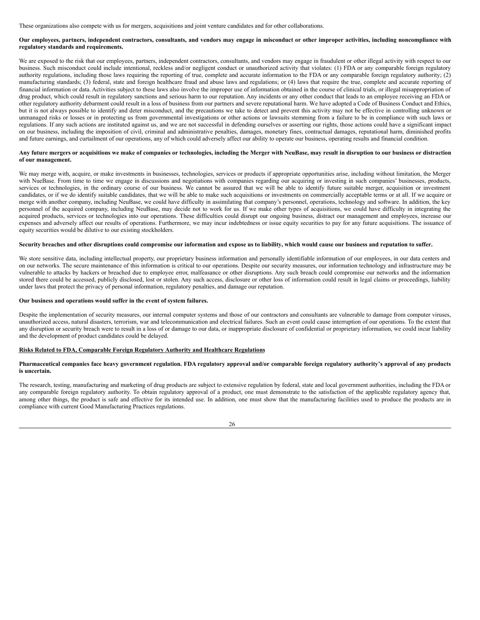These organizations also compete with us for mergers, acquisitions and joint venture candidates and for other collaborations.

## Our employees, partners, independent contractors, consultants, and vendors may engage in misconduct or other improper activities, including noncompliance with **regulatory standards and requirements.**

We are exposed to the risk that our employees, partners, independent contractors, consultants, and vendors may engage in fraudulent or other illegal activity with respect to our business. Such misconduct could include intentional, reckless and/or negligent conduct or unauthorized activity that violates: (1) FDA or any comparable foreign regulatory authority regulations, including those laws requiring the reporting of true, complete and accurate information to the FDA or any comparable foreign regulatory authority; (2) manufacturing standards; (3) federal, state and foreign healthcare fraud and abuse laws and regulations; or (4) laws that require the true, complete and accurate reporting of financial information or data. Activities subject to these laws also involve the improper use of information obtained in the course of clinical trials, or illegal misappropriation of drug product, which could result in regulatory sanctions and serious harm to our reputation. Any incidents or any other conduct that leads to an employee receiving an FDA or other regulatory authority debarment could result in a loss of business from our partners and severe reputational harm. We have adopted a Code of Business Conduct and Ethics, but it is not always possible to identify and deter misconduct, and the precautions we take to detect and prevent this activity may not be effective in controlling unknown or unmanaged risks or losses or in protecting us from governmental investigations or other actions or lawsuits stemming from a failure to be in compliance with such laws or regulations. If any such actions are instituted against us, and we are not successful in defending ourselves or asserting our rights, those actions could have a significant impact on our business, including the imposition of civil, criminal and administrative penalties, damages, monetary fines, contractual damages, reputational harm, diminished profits and future earnings, and curtailment of our operations, any of which could adversely affect our ability to operate our business, operating results and financial condition.

## Any future mergers or acquisitions we make of companies or technologies, including the Merger with NeuBase, may result in disruption to our business or distraction **of our management.**

We may merge with, acquire, or make investments in businesses, technologies, services or products if appropriate opportunities arise, including without limitation, the Merger with NueBase. From time to time we engage in discussions and negotiations with companies regarding our acquiring or investing in such companies' businesses, products, services or technologies, in the ordinary course of our business. We cannot be assured that we will be able to identify future suitable merger, acquisition or investment candidates, or if we do identify suitable candidates, that we will be able to make such acquisitions or investments on commercially acceptable terms or at all. If we acquire or merge with another company, including NeuBase, we could have difficulty in assimilating that company's personnel, operations, technology and software. In addition, the key personnel of the acquired company, including NeuBase, may decide not to work for us. If we make other types of acquisitions, we could have difficulty in integrating the acquired products, services or technologies into our operations. These difficulties could disrupt our ongoing business, distract our management and employees, increase our expenses and adversely affect our results of operations. Furthermore, we may incur indebtedness or issue equity securities to pay for any future acquisitions. The issuance of equity securities would be dilutive to our existing stockholders.

## Security breaches and other disruptions could compromise our information and expose us to liability, which would cause our business and reputation to suffer.

We store sensitive data, including intellectual property, our proprietary business information and personally identifiable information of our employees, in our data centers and on our networks. The secure maintenance of this information is critical to our operations. Despite our security measures, our information technology and infrastructure may be vulnerable to attacks by hackers or breached due to employee error, malfeasance or other disruptions. Any such breach could compromise our networks and the information stored there could be accessed, publicly disclosed, lost or stolen. Any such access, disclosure or other loss of information could result in legal claims or proceedings, liability under laws that protect the privacy of personal information, regulatory penalties, and damage our reputation.

## **Our business and operations would suffer in the event of system failures.**

Despite the implementation of security measures, our internal computer systems and those of our contractors and consultants are vulnerable to damage from computer viruses, unauthorized access, natural disasters, terrorism, war and telecommunication and electrical failures. Such an event could cause interruption of our operations. To the extent that any disruption or security breach were to result in a loss of or damage to our data, or inappropriate disclosure of confidential or proprietary information, we could incur liability and the development of product candidates could be delayed.

## **Risks Related to FDA, Comparable Foreign Regulatory Authority and Healthcare Regulations**

## Pharmaceutical companies face heavy government regulation. FDA regulatory approval and/or comparable foreign regulatory authority's approval of any products **is uncertain.**

The research, testing, manufacturing and marketing of drug products are subject to extensive regulation by federal, state and local government authorities, including the FDA or any comparable foreign regulatory authority. To obtain regulatory approval of a product, one must demonstrate to the satisfaction of the applicable regulatory agency that, among other things, the product is safe and effective for its intended use. In addition, one must show that the manufacturing facilities used to produce the products are in compliance with current Good Manufacturing Practices regulations.

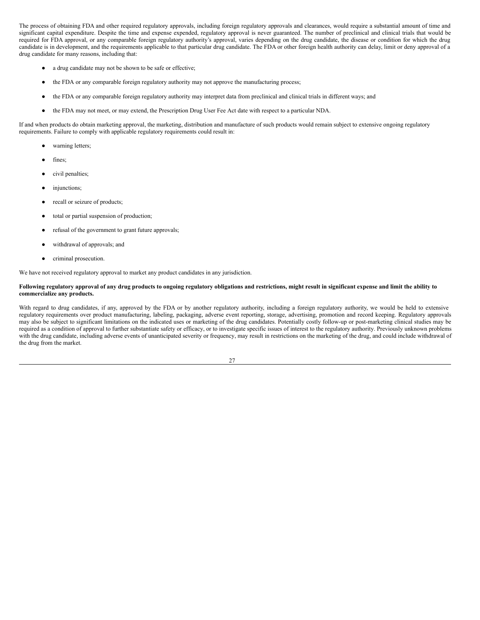The process of obtaining FDA and other required regulatory approvals, including foreign regulatory approvals and clearances, would require a substantial amount of time and significant capital expenditure. Despite the time and expense expended, regulatory approval is never guaranteed. The number of preclinical and clinical trials that would be required for FDA approval, or any comparable foreign regulatory authority's approval, varies depending on the drug candidate, the disease or condition for which the drug candidate is in development, and the requirements applicable to that particular drug candidate. The FDA or other foreign health authority can delay, limit or deny approval of a drug candidate for many reasons, including that:

- a drug candidate may not be shown to be safe or effective;
- the FDA or any comparable foreign regulatory authority may not approve the manufacturing process;
- the FDA or any comparable foreign regulatory authority may interpret data from preclinical and clinical trials in different ways; and
- the FDA may not meet, or may extend, the Prescription Drug User Fee Act date with respect to a particular NDA.

If and when products do obtain marketing approval, the marketing, distribution and manufacture of such products would remain subject to extensive ongoing regulatory requirements. Failure to comply with applicable regulatory requirements could result in:

- warning letters;
- fines;
- civil penalties;
- injunctions;
- recall or seizure of products;
- total or partial suspension of production;
- refusal of the government to grant future approvals;
- withdrawal of approvals; and
- criminal prosecution.

We have not received regulatory approval to market any product candidates in any jurisdiction.

## Following regulatory approval of any drug products to ongoing regulatory obligations and restrictions, might result in significant expense and limit the ability to **commercialize any products.**

With regard to drug candidates, if any, approved by the FDA or by another regulatory authority, including a foreign regulatory authority, we would be held to extensive regulatory requirements over product manufacturing, labeling, packaging, adverse event reporting, storage, advertising, promotion and record keeping. Regulatory approvals may also be subject to significant limitations on the indicated uses or marketing of the drug candidates. Potentially costly follow-up or post-marketing clinical studies may be required as a condition of approval to further substantiate safety or efficacy, or to investigate specific issues of interest to the regulatory authority. Previously unknown problems with the drug candidate, including adverse events of unanticipated severity or frequency, may result in restrictions on the marketing of the drug, and could include withdrawal of the drug from the market.

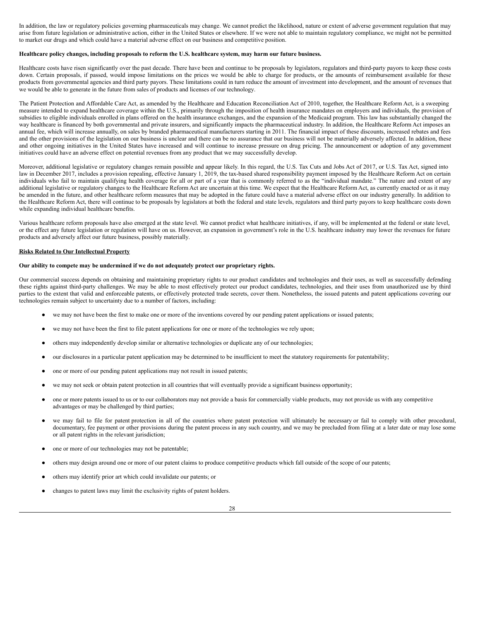In addition, the law or regulatory policies governing pharmaceuticals may change. We cannot predict the likelihood, nature or extent of adverse government regulation that may arise from future legislation or administrative action, either in the United States or elsewhere. If we were not able to maintain regulatory compliance, we might not be permitted to market our drugs and which could have a material adverse effect on our business and competitive position.

#### Healthcare policy changes, including proposals to reform the U.S. healthcare system, may harm our future business.

Healthcare costs have risen significantly over the past decade. There have been and continue to be proposals by legislators, regulators and third-party payors to keep these costs down. Certain proposals, if passed, would impose limitations on the prices we would be able to charge for products, or the amounts of reimbursement available for these products from governmental agencies and third party payors. These limitations could in turn reduce the amount of investment into development, and the amount of revenues that we would be able to generate in the future from sales of products and licenses of our technology.

The Patient Protection and Affordable Care Act, as amended by the Healthcare and Education Reconciliation Act of 2010, together, the Healthcare Reform Act, is a sweeping measure intended to expand healthcare coverage within the U.S., primarily through the imposition of health insurance mandates on employers and individuals, the provision of subsidies to eligible individuals enrolled in plans offered on the health insurance exchanges, and the expansion of the Medicaid program. This law has substantially changed the way healthcare is financed by both governmental and private insurers, and significantly impacts the pharmaceutical industry. In addition, the Healthcare Reform Act imposes an annual fee, which will increase annually, on sales by branded pharmaceutical manufacturers starting in 2011. The financial impact of these discounts, increased rebates and fees and the other provisions of the legislation on our business is unclear and there can be no assurance that our business will not be materially adversely affected. In addition, these and other ongoing initiatives in the United States have increased and will continue to increase pressure on drug pricing. The announcement or adoption of any government initiatives could have an adverse effect on potential revenues from any product that we may successfully develop.

Moreover, additional legislative or regulatory changes remain possible and appear likely. In this regard, the U.S. Tax Cuts and Jobs Act of 2017, or U.S. Tax Act, signed into law in December 2017, includes a provision repealing, effective January 1, 2019, the tax-based shared responsibility payment imposed by the Healthcare Reform Act on certain individuals who fail to maintain qualifying health coverage for all or part of a year that is commonly referred to as the "individual mandate." The nature and extent of any additional legislative or regulatory changes to the Healthcare Reform Act are uncertain at this time. We expect that the Healthcare Reform Act, as currently enacted or as it may be amended in the future, and other healthcare reform measures that may be adopted in the future could have a material adverse effect on our industry generally. In addition to the Healthcare Reform Act, there will continue to be proposals by legislators at both the federal and state levels, regulators and third party payors to keep healthcare costs down while expanding individual healthcare benefits.

Various healthcare reform proposals have also emerged at the state level. We cannot predict what healthcare initiatives, if any, will be implemented at the federal or state level, or the effect any future legislation or regulation will have on us. However, an expansion in government's role in the U.S. healthcare industry may lower the revenues for future products and adversely affect our future business, possibly materially.

#### **Risks Related to Our Intellectual Property**

#### **Our ability to compete may be undermined if we do not adequately protect our proprietary rights.**

Our commercial success depends on obtaining and maintaining proprietary rights to our product candidates and technologies and their uses, as well as successfully defending these rights against third-party challenges. We may be able to most effectively protect our product candidates, technologies, and their uses from unauthorized use by third parties to the extent that valid and enforceable patents, or effectively protected trade secrets, cover them. Nonetheless, the issued patents and patent applications covering our technologies remain subject to uncertainty due to a number of factors, including:

- we may not have been the first to make one or more of the inventions covered by our pending patent applications or issued patents;
- we may not have been the first to file patent applications for one or more of the technologies we rely upon;
- others may independently develop similar or alternative technologies or duplicate any of our technologies;
- our disclosures in a particular patent application may be determined to be insufficient to meet the statutory requirements for patentability;
- one or more of our pending patent applications may not result in issued patents;
- we may not seek or obtain patent protection in all countries that will eventually provide a significant business opportunity;
- one or more patents issued to us or to our collaborators may not provide a basis for commercially viable products, may not provide us with any competitive advantages or may be challenged by third parties;
- we may fail to file for patent protection in all of the countries where patent protection will ultimately be necessary or fail to comply with other procedural, documentary, fee payment or other provisions during the patent process in any such country, and we may be precluded from filing at a later date or may lose some or all patent rights in the relevant jurisdiction;
- one or more of our technologies may not be patentable;
- others may design around one or more of our patent claims to produce competitive products which fall outside of the scope of our patents;
- others may identify prior art which could invalidate our patents; or
- changes to patent laws may limit the exclusivity rights of patent holders.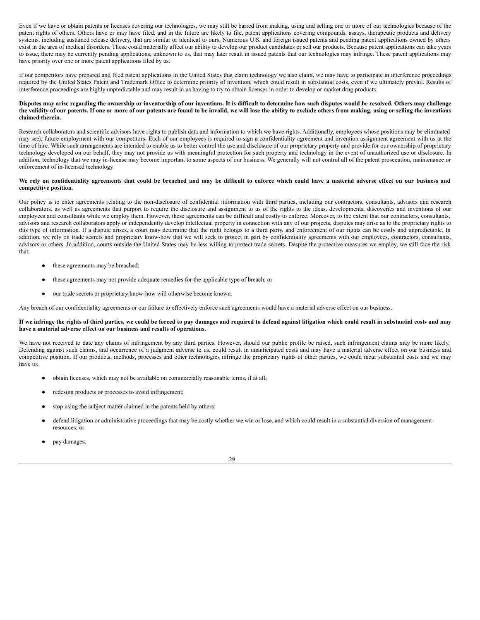Even if we have or obtain patents or licenses covering our technologies, we may still be barred from making, using and selling one or more of our technologies because of the patent rights of others. Others have or may have filed, and in the future are likely to file, patent applications covering compounds, assays, therapeutic products and delivery systems, including sustained release delivery, that are similar or identical to ours. Numerous U.S. and foreign issued patents and pending patent applications owned by others exist in the area of medical disorders. These could materially affect our ability to develop our product candidates or sell our products. Because patent applications can take years to issue, there may be currently pending applications, unknown to us, that may later result in issued patents that our technologies may infringe. These patent applications may have priority over one or more patent applications filed by us.

If our competitors have prepared and filed patent applications in the United States that claim technology we also claim, we may have to participate in interference proceedings required by the United States Patent and Trademark Office to determine priority of invention, which could result in substantial costs, even if we ultimately prevail. Results of interference proceedings are highly unpredictable and may result in us having to try to obtain licenses in order to develop or market drug products.

## Disputes may arise regarding the ownership or inventorship of our inventions. It is difficult to determine how such disputes would be resolved. Others may challenge the validity of our patents. If one or more of our patents are found to be invalid, we will lose the ability to exclude others from making, using or selling the inventions **claimed therein.**

Research collaborators and scientific advisors have rights to publish data and information to which we have rights. Additionally, employees whose positions may be eliminated may seek future employment with our competitors. Each of our employees is required to sign a confidentiality agreement and invention assignment agreement with us at the time of hire. While such arrangements are intended to enable us to better control the use and disclosure of our proprietary property and provide for our ownership of proprietary technology developed on our behalf, they may not provide us with meaningful protection for such property and technology in the event of unauthorized use or disclosure. In addition, technology that we may in-license may become important to some aspects of our business. We generally will not control all of the patent prosecution, maintenance or enforcement of in-licensed technology.

## We rely on confidentiality agreements that could be breached and may be difficult to enforce which could have a material adverse effect on our business and **competitive position.**

Our policy is to enter agreements relating to the non-disclosure of confidential information with third parties, including our contractors, consultants, advisors and research collaborators, as well as agreements that purport to require the disclosure and assignment to us of the rights to the ideas, developments, discoveries and inventions of our employees and consultants while we employ them. However, these agreements can be difficult and costly to enforce. Moreover, to the extent that our contractors, consultants, advisors and research collaborators apply or independently develop intellectual property in connection with any of our projects, disputes may arise as to the proprietary rights to this type of information. If a dispute arises, a court may determine that the right belongs to a third party, and enforcement of our rights can be costly and unpredictable. In addition, we rely on trade secrets and proprietary know-how that we will seek to protect in part by confidentiality agreements with our employees, contractors, consultants, advisors or others. In addition, courts outside the United States may be less willing to protect trade secrets. Despite the protective measures we employ, we still face the risk that:

- these agreements may be breached;
- these agreements may not provide adequate remedies for the applicable type of breach; or
- our trade secrets or proprietary know-how will otherwise become known.

Any breach of our confidentiality agreements or our failure to effectively enforce such agreements would have a material adverse effect on our business.

## If we infringe the rights of third parties, we could be forced to pay damages and required to defend against litigation which could result in substantial costs and may **have a material adverse effect on our business and results of operations.**

We have not received to date any claims of infringement by any third parties. However, should our public profile be raised, such infringement claims may be more likely. Defending against such claims, and occurrence of a judgment adverse to us, could result in unanticipated costs and may have a material adverse effect on our business and competitive position. If our products, methods, processes and other technologies infringe the proprietary rights of other parties, we could incur substantial costs and we may have to:

- obtain licenses, which may not be available on commercially reasonable terms, if at all;
- redesign products or processes to avoid infringement;
- stop using the subject matter claimed in the patents held by others;
- defend litigation or administrative proceedings that may be costly whether we win or lose, and which could result in a substantial diversion of management resources; or
- pay damages.

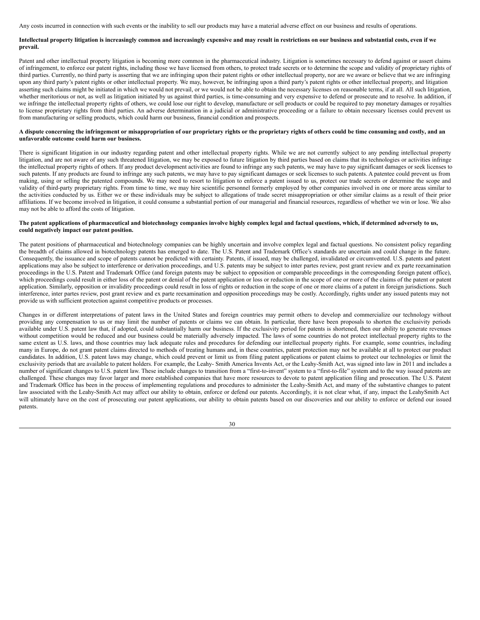Any costs incurred in connection with such events or the inability to sell our products may have a material adverse effect on our business and results of operations.

## Intellectual property litigation is increasingly common and increasingly expensive and may result in restrictions on our business and substantial costs, even if we **prevail.**

Patent and other intellectual property litigation is becoming more common in the pharmaceutical industry. Litigation is sometimes necessary to defend against or assert claims of infringement, to enforce our patent rights, including those we have licensed from others, to protect trade secrets or to determine the scope and validity of proprietary rights of third parties. Currently, no third party is asserting that we are infringing upon their patent rights or other intellectual property, nor are we aware or believe that we are infringing upon any third party's patent rights or other intellectual property. We may, however, be infringing upon a third party's patent rights or other intellectual property, and litigation asserting such claims might be initiated in which we would not prevail, or we would not be able to obtain the necessary licenses on reasonable terms, if at all. All such litigation, whether meritorious or not, as well as litigation initiated by us against third parties, is time-consuming and very expensive to defend or prosecute and to resolve. In addition, if we infringe the intellectual property rights of others, we could lose our right to develop, manufacture or sell products or could be required to pay monetary damages or royalties to license proprietary rights from third parties. An adverse determination in a judicial or administrative proceeding or a failure to obtain necessary licenses could prevent us from manufacturing or selling products, which could harm our business, financial condition and prospects.

## A dispute concerning the infringement or misappropriation of our proprietary rights or the proprietary rights of others could be time consuming and costly, and an **unfavorable outcome could harm our business.**

There is significant litigation in our industry regarding patent and other intellectual property rights. While we are not currently subject to any pending intellectual property litigation, and are not aware of any such threatened litigation, we may be exposed to future litigation by third parties based on claims that its technologies or activities infringe the intellectual property rights of others. If any product development activities are found to infringe any such patents, we may have to pay significant damages or seek licenses to such patents. If any products are found to infringe any such patents, we may have to pay significant damages or seek licenses to such patents. A patentee could prevent us from making, using or selling the patented compounds. We may need to resort to litigation to enforce a patent issued to us, protect our trade secrets or determine the scope and validity of third-party proprietary rights. From time to time, we may hire scientific personnel formerly employed by other companies involved in one or more areas similar to the activities conducted by us. Either we or these individuals may be subject to allegations of trade secret misappropriation or other similar claims as a result of their prior affiliations. If we become involved in litigation, it could consume a substantial portion of our managerial and financial resources, regardless of whether we win or lose. We also may not be able to afford the costs of litigation.

## The patent applications of pharmaceutical and biotechnology companies involve highly complex legal and factual questions, which, if determined adversely to us, **could negatively impact our patent position.**

The patent positions of pharmaceutical and biotechnology companies can be highly uncertain and involve complex legal and factual questions. No consistent policy regarding the breadth of claims allowed in biotechnology patents has emerged to date. The U.S. Patent and Trademark Office's standards are uncertain and could change in the future. Consequently, the issuance and scope of patents cannot be predicted with certainty. Patents, if issued, may be challenged, invalidated or circumvented. U.S. patents and patent applications may also be subject to interference or derivation proceedings, and U.S. patents may be subject to inter partes review, post grant review and ex parte reexamination proceedings in the U.S. Patent and Trademark Office (and foreign patents may be subject to opposition or comparable proceedings in the corresponding foreign patent office), which proceedings could result in either loss of the patent or denial of the patent application or loss or reduction in the scope of one or more of the claims of the patent or patent application. Similarly, opposition or invalidity proceedings could result in loss of rights or reduction in the scope of one or more claims of a patent in foreign jurisdictions. Such interference, inter partes review, post grant review and ex parte reexamination and opposition proceedings may be costly. Accordingly, rights under any issued patents may not provide us with sufficient protection against competitive products or processes.

Changes in or different interpretations of patent laws in the United States and foreign countries may permit others to develop and commercialize our technology without providing any compensation to us or may limit the number of patents or claims we can obtain. In particular, there have been proposals to shorten the exclusivity periods available under U.S. patent law that, if adopted, could substantially harm our business. If the exclusivity period for patents is shortened, then our ability to generate revenues without competition would be reduced and our business could be materially adversely impacted. The laws of some countries do not protect intellectual property rights to the same extent as U.S. laws, and those countries may lack adequate rules and procedures for defending our intellectual property rights. For example, some countries, including many in Europe, do not grant patent claims directed to methods of treating humans and, in these countries, patent protection may not be available at all to protect our product candidates. In addition, U.S. patent laws may change, which could prevent or limit us from filing patent applications or patent claims to protect our technologies or limit the exclusivity periods that are available to patent holders. For example, the Leahy- Smith America Invents Act, or the Leahy-Smith Act, was signed into law in 2011 and includes a number of significant changes to U.S. patent law. These include changes to transition from a "first-to-invent" system to a "first-to-file" system and to the way issued patents are challenged. These changes may favor larger and more established companies that have more resources to devote to patent application filing and prosecution. The U.S. Patent and Trademark Office has been in the process of implementing regulations and procedures to administer the Leahy-Smith Act, and many of the substantive changes to patent law associated with the Leahy-Smith Act may affect our ability to obtain, enforce or defend our patents. Accordingly, it is not clear what, if any, impact the LeahySmith Act will ultimately have on the cost of prosecuting our patent applications, our ability to obtain patents based on our discoveries and our ability to enforce or defend our issued patents.

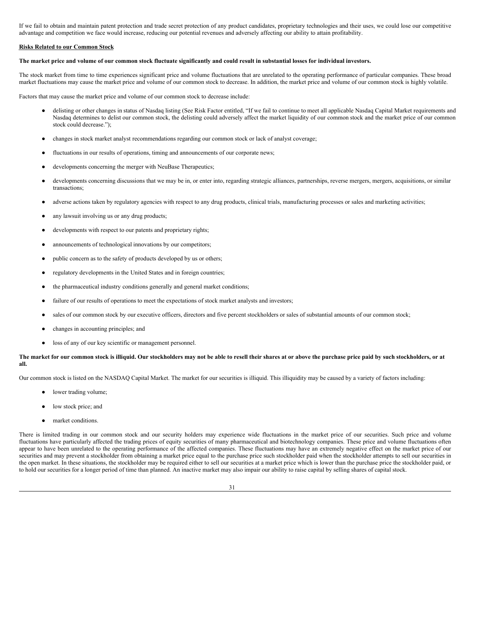If we fail to obtain and maintain patent protection and trade secret protection of any product candidates, proprietary technologies and their uses, we could lose our competitive advantage and competition we face would increase, reducing our potential revenues and adversely affecting our ability to attain profitability.

## **Risks Related to our Common Stock**

#### The market price and volume of our common stock fluctuate significantly and could result in substantial losses for individual investors.

The stock market from time to time experiences significant price and volume fluctuations that are unrelated to the operating performance of particular companies. These broad market fluctuations may cause the market price and volume of our common stock to decrease. In addition, the market price and volume of our common stock is highly volatile.

Factors that may cause the market price and volume of our common stock to decrease include:

- delisting or other changes in status of Nasdaq listing (See Risk Factor entitled, "If we fail to continue to meet all applicable Nasdaq Capital Market requirements and Nasdaq determines to delist our common stock, the delisting could adversely affect the market liquidity of our common stock and the market price of our common stock could decrease.");
- changes in stock market analyst recommendations regarding our common stock or lack of analyst coverage;
- fluctuations in our results of operations, timing and announcements of our corporate news;
- developments concerning the merger with NeuBase Therapeutics;
- developments concerning discussions that we may be in, or enter into, regarding strategic alliances, partnerships, reverse mergers, mergers, acquisitions, or similar transactions;
- adverse actions taken by regulatory agencies with respect to any drug products, clinical trials, manufacturing processes or sales and marketing activities;
- any lawsuit involving us or any drug products;
- developments with respect to our patents and proprietary rights;
- announcements of technological innovations by our competitors;
- public concern as to the safety of products developed by us or others;
- regulatory developments in the United States and in foreign countries;
- the pharmaceutical industry conditions generally and general market conditions;
- failure of our results of operations to meet the expectations of stock market analysts and investors;
- sales of our common stock by our executive officers, directors and five percent stockholders or sales of substantial amounts of our common stock;
- changes in accounting principles; and
- loss of any of our key scientific or management personnel.

#### The market for our common stock is illiquid. Our stockholders may not be able to resell their shares at or above the purchase price paid by such stockholders, or at **all.**

Our common stock is listed on the NASDAQ Capital Market. The market for our securities is illiquid. This illiquidity may be caused by a variety of factors including:

- lower trading volume;
- low stock price; and
- market conditions.

There is limited trading in our common stock and our security holders may experience wide fluctuations in the market price of our securities. Such price and volume fluctuations have particularly affected the trading prices of equity securities of many pharmaceutical and biotechnology companies. These price and volume fluctuations often appear to have been unrelated to the operating performance of the affected companies. These fluctuations may have an extremely negative effect on the market price of our securities and may prevent a stockholder from obtaining a market price equal to the purchase price such stockholder paid when the stockholder attempts to sell our securities in the open market. In these situations, the stockholder may be required either to sell our securities at a market price which is lower than the purchase price the stockholder paid, or to hold our securities for a longer period of time than planned. An inactive market may also impair our ability to raise capital by selling shares of capital stock.

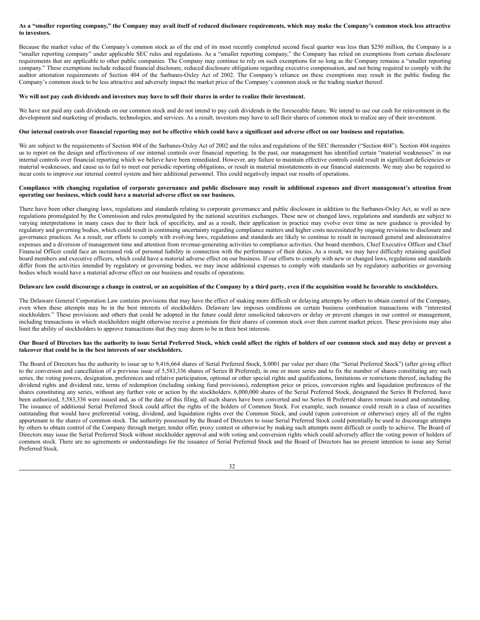## As a "smaller reporting company," the Company may avail itself of reduced disclosure requirements, which may make the Company's common stock less attractive **to investors.**

Because the market value of the Company's common stock as of the end of its most recently completed second fiscal quarter was less than \$250 million, the Company is a "smaller reporting company" under applicable SEC rules and regulations. As a "smaller reporting company," the Company has relied on exemptions from certain disclosure requirements that are applicable to other public companies. The Company may continue to rely on such exemptions for so long as the Company remains a "smaller reporting company." These exemptions include reduced financial disclosure, reduced disclosure obligations regarding executive compensation, and not being required to comply with the auditor attestation requirements of Section 404 of the Sarbanes-Oxley Act of 2002. The Company's reliance on these exemptions may result in the public finding the Company's common stock to be less attractive and adversely impact the market price of the Company's common stock or the trading market thereof.

## We will not pay cash dividends and investors may have to sell their shares in order to realize their investment.

We have not paid any cash dividends on our common stock and do not intend to pay cash dividends in the foreseeable future. We intend to use our cash for reinvestment in the development and marketing of products, technologies, and services. As a result, investors may have to sell their shares of common stock to realize any of their investment.

## Our internal controls over financial reporting may not be effective which could have a significant and adverse effect on our business and reputation.

We are subject to the requirements of Section 404 of the Sarbanes-Oxley Act of 2002 and the rules and regulations of the SEC thereunder ("Section 404"). Section 404 requires us to report on the design and effectiveness of our internal controls over financial reporting. In the past, our management has identified certain "material weaknesses" in our internal controls over financial reporting which we believe have been remediated. However, any failure to maintain effective controls could result in significant deficiencies or material weaknesses, and cause us to fail to meet our periodic reporting obligations, or result in material misstatements in our financial statements. We may also be required to incur costs to improve our internal control system and hire additional personnel. This could negatively impact our results of operations.

## Compliance with changing regulation of corporate governance and public disclosure may result in additional expenses and divert management's attention from **operating our business, which could have a material adverse effect on our business.**

There have been other changing laws, regulations and standards relating to corporate governance and public disclosure in addition to the Sarbanes-Oxley Act, as well as new regulations promulgated by the Commission and rules promulgated by the national securities exchanges. These new or changed laws, regulations and standards are subject to varying interpretations in many cases due to their lack of specificity, and as a result, their application in practice may evolve over time as new guidance is provided by regulatory and governing bodies, which could result in continuing uncertainty regarding compliance matters and higher costs necessitated by ongoing revisions to disclosure and governance practices. As a result, our efforts to comply with evolving laws, regulations and standards are likely to continue to result in increased general and administrative expenses and a diversion of management time and attention from revenue-generating activities to compliance activities. Our board members, Chief Executive Officer and Chief Financial Officer could face an increased risk of personal liability in connection with the performance of their duties. As a result, we may have difficulty retaining qualified board members and executive officers, which could have a material adverse effect on our business. If our efforts to comply with new or changed laws, regulations and standards differ from the activities intended by regulatory or governing bodies, we may incur additional expenses to comply with standards set by regulatory authorities or governing bodies which would have a material adverse effect on our business and results of operations.

## Delaware law could discourage a change in control, or an acquisition of the Company by a third party, even if the acquisition would be favorable to stockholders.

The Delaware General Corporation Law contains provisions that may have the effect of making more difficult or delaying attempts by others to obtain control of the Company, even when these attempts may be in the best interests of stockholders. Delaware law imposes conditions on certain business combination transactions with "interested stockholders." These provisions and others that could be adopted in the future could deter unsolicited takeovers or delay or prevent changes in our control or management, including transactions in which stockholders might otherwise receive a premium for their shares of common stock over then current market prices. These provisions may also limit the ability of stockholders to approve transactions that they may deem to be in their best interests.

## Our Board of Directors has the authority to issue Serial Preferred Stock, which could affect the rights of holders of our common stock and may delay or prevent a **takeover that could be in the best interests of our stockholders.**

The Board of Directors has the authority to issue up to 9,416,664 shares of Serial Preferred Stock, \$.0001 par value per share (the "Serial Preferred Stock") (after giving effect to the conversion and cancellation of a previous issue of 5,583,336 shares of Series B Preferred), in one or more series and to fix the number of shares constituting any such series, the voting powers, designation, preferences and relative participation, optional or other special rights and qualifications, limitations or restrictions thereof, including the dividend rights and dividend rate, terms of redemption (including sinking fund provisions), redemption price or prices, conversion rights and liquidation preferences of the shares constituting any series, without any further vote or action by the stockholders. 6,000,000 shares of the Serial Preferred Stock, designated the Series B Preferred, have been authorized, 5,583,336 were issued and, as of the date of this filing, all such shares have been converted and no Series B Preferred shares remain issued and outstanding. The issuance of additional Serial Preferred Stock could affect the rights of the holders of Common Stock. For example, such issuance could result in a class of securities outstanding that would have preferential voting, dividend, and liquidation rights over the Common Stock, and could (upon conversion or otherwise) enjoy all of the rights appurtenant to the shares of common stock. The authority possessed by the Board of Directors to issue Serial Preferred Stock could potentially be used to discourage attempts by others to obtain control of the Company through merger, tender offer, proxy contest or otherwise by making such attempts more difficult or costly to achieve. The Board of Directors may issue the Serial Preferred Stock without stockholder approval and with voting and conversion rights which could adversely affect the voting power of holders of common stock. There are no agreements or understandings for the issuance of Serial Preferred Stock and the Board of Directors has no present intention to issue any Serial Preferred Stock.

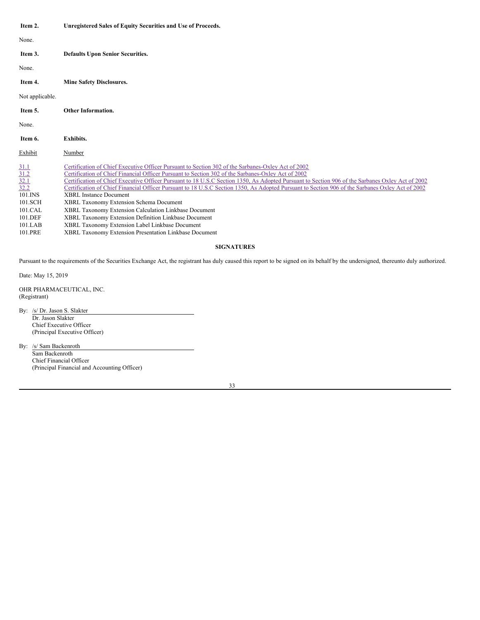<span id="page-32-3"></span><span id="page-32-2"></span><span id="page-32-1"></span><span id="page-32-0"></span>

| Item 2.                                                                  | Unregistered Sales of Equity Securities and Use of Proceeds.                                                                                                                                                                                                                                                                                                                                                                                                                                                                                                                                                                                          |
|--------------------------------------------------------------------------|-------------------------------------------------------------------------------------------------------------------------------------------------------------------------------------------------------------------------------------------------------------------------------------------------------------------------------------------------------------------------------------------------------------------------------------------------------------------------------------------------------------------------------------------------------------------------------------------------------------------------------------------------------|
| None.                                                                    |                                                                                                                                                                                                                                                                                                                                                                                                                                                                                                                                                                                                                                                       |
| Item 3.                                                                  | <b>Defaults Upon Senior Securities.</b>                                                                                                                                                                                                                                                                                                                                                                                                                                                                                                                                                                                                               |
| None.                                                                    |                                                                                                                                                                                                                                                                                                                                                                                                                                                                                                                                                                                                                                                       |
| Item 4.                                                                  | <b>Mine Safety Disclosures.</b>                                                                                                                                                                                                                                                                                                                                                                                                                                                                                                                                                                                                                       |
| Not applicable.                                                          |                                                                                                                                                                                                                                                                                                                                                                                                                                                                                                                                                                                                                                                       |
| Item 5.                                                                  | Other Information.                                                                                                                                                                                                                                                                                                                                                                                                                                                                                                                                                                                                                                    |
| None.                                                                    |                                                                                                                                                                                                                                                                                                                                                                                                                                                                                                                                                                                                                                                       |
| Item 6.                                                                  | Exhibits.                                                                                                                                                                                                                                                                                                                                                                                                                                                                                                                                                                                                                                             |
| Exhibit                                                                  | Number                                                                                                                                                                                                                                                                                                                                                                                                                                                                                                                                                                                                                                                |
| $\frac{31.1}{32.1}$ $\frac{32.1}{32.2}$<br>101.INS<br>101.SCH<br>101.CAL | Certification of Chief Executive Officer Pursuant to Section 302 of the Sarbanes-Oxley Act of 2002<br>Certification of Chief Financial Officer Pursuant to Section 302 of the Sarbanes-Oxley Act of 2002<br>Certification of Chief Executive Officer Pursuant to 18 U.S.C Section 1350, As Adopted Pursuant to Section 906 of the Sarbanes Oxley Act of 2002<br>Certification of Chief Financial Officer Pursuant to 18 U.S.C Section 1350, As Adopted Pursuant to Section 906 of the Sarbanes Oxley Act of 2002<br><b>XBRL Instance Document</b><br>XBRL Taxonomy Extension Schema Document<br>XBRL Taxonomy Extension Calculation Linkbase Document |
| 101.DEF                                                                  | XBRL Taxonomy Extension Definition Linkbase Document                                                                                                                                                                                                                                                                                                                                                                                                                                                                                                                                                                                                  |

<span id="page-32-4"></span>101.LAB XBRL Taxonomy Extension Label Linkbase Document XBRL Taxonomy Extension Presentation Linkbase Document

## **SIGNATURES**

Pursuant to the requirements of the Securities Exchange Act, the registrant has duly caused this report to be signed on its behalf by the undersigned, thereunto duly authorized.

Date: May 15, 2019

OHR PHARMACEUTICAL, INC. (Registrant)

By: /s/ Dr. Jason S. Slakter Dr. Jason Slakter Chief Executive Officer (Principal Executive Officer)

By: /s/ Sam Backenroth Sam Backenroth Chief Financial Officer (Principal Financial and Accounting Officer)

33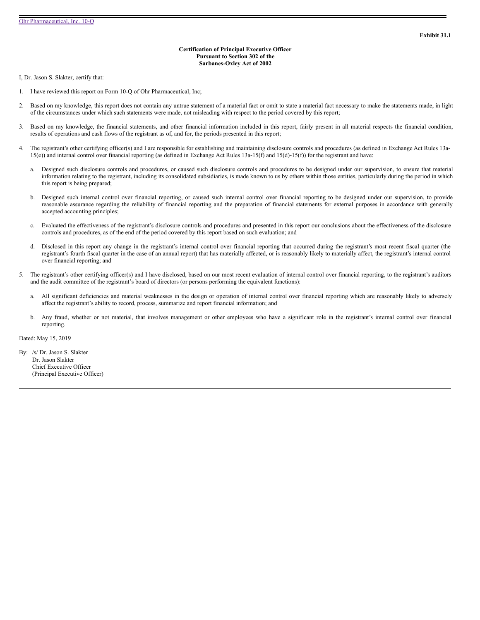## **Certification of Principal Executive Officer Pursuant to Section 302 of the Sarbanes-Oxley Act of 2002**

<span id="page-33-0"></span>I, Dr. Jason S. Slakter, certify that:

- 1. I have reviewed this report on Form 10-Q of Ohr Pharmaceutical, Inc;
- 2. Based on my knowledge, this report does not contain any untrue statement of a material fact or omit to state a material fact necessary to make the statements made, in light of the circumstances under which such statements were made, not misleading with respect to the period covered by this report;
- 3. Based on my knowledge, the financial statements, and other financial information included in this report, fairly present in all material respects the financial condition, results of operations and cash flows of the registrant as of, and for, the periods presented in this report;
- 4. The registrant's other certifying officer(s) and I are responsible for establishing and maintaining disclosure controls and procedures (as defined in Exchange Act Rules 13a-15(e)) and internal control over financial reporting (as defined in Exchange Act Rules 13a-15(f) and 15(d)-15(f)) for the registrant and have:
	- a. Designed such disclosure controls and procedures, or caused such disclosure controls and procedures to be designed under our supervision, to ensure that material information relating to the registrant, including its consolidated subsidiaries, is made known to us by others within those entities, particularly during the period in which this report is being prepared;
	- b. Designed such internal control over financial reporting, or caused such internal control over financial reporting to be designed under our supervision, to provide reasonable assurance regarding the reliability of financial reporting and the preparation of financial statements for external purposes in accordance with generally accepted accounting principles;
	- c. Evaluated the effectiveness of the registrant's disclosure controls and procedures and presented in this report our conclusions about the effectiveness of the disclosure controls and procedures, as of the end of the period covered by this report based on such evaluation; and
	- d. Disclosed in this report any change in the registrant's internal control over financial reporting that occurred during the registrant's most recent fiscal quarter (the registrant's fourth fiscal quarter in the case of an annual report) that has materially affected, or is reasonably likely to materially affect, the registrant's internal control over financial reporting; and
- 5. The registrant's other certifying officer(s) and I have disclosed, based on our most recent evaluation of internal control over financial reporting, to the registrant's auditors and the audit committee of the registrant's board of directors (or persons performing the equivalent functions):
	- a. All significant deficiencies and material weaknesses in the design or operation of internal control over financial reporting which are reasonably likely to adversely affect the registrant's ability to record, process, summarize and report financial information; and
	- b. Any fraud, whether or not material, that involves management or other employees who have a significant role in the registrant's internal control over financial reporting.

Dated: May 15, 2019

By: /s/ Dr. Jason S. Slakter Dr. Jason Slakter Chief Executive Officer (Principal Executive Officer)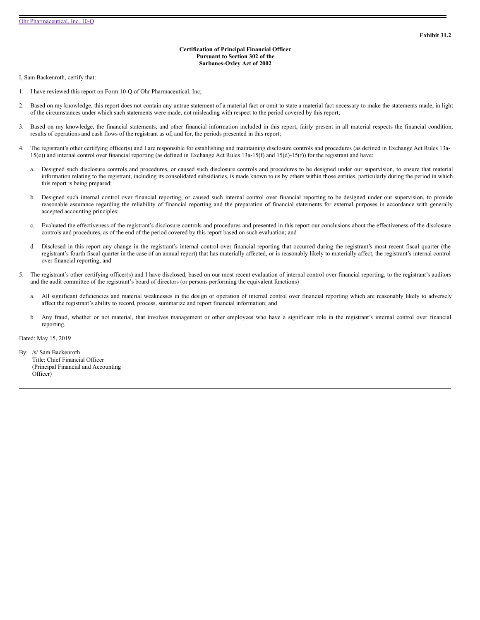## **Certification of Principal Financial Officer Pursuant to Section 302 of the Sarbanes-Oxley Act of 2002**

<span id="page-34-0"></span>I, Sam Backenroth, certify that:

- 1. I have reviewed this report on Form 10-Q of Ohr Pharmaceutical, Inc;
- 2. Based on my knowledge, this report does not contain any untrue statement of a material fact or omit to state a material fact necessary to make the statements made, in light of the circumstances under which such statements were made, not misleading with respect to the period covered by this report;
- 3. Based on my knowledge, the financial statements, and other financial information included in this report, fairly present in all material respects the financial condition, results of operations and cash flows of the registrant as of, and for, the periods presented in this report;
- 4. The registrant's other certifying officer(s) and I are responsible for establishing and maintaining disclosure controls and procedures (as defined in Exchange Act Rules 13a-15(e)) and internal control over financial reporting (as defined in Exchange Act Rules 13a-15(f) and 15(d)-15(f)) for the registrant and have:
	- a. Designed such disclosure controls and procedures, or caused such disclosure controls and procedures to be designed under our supervision, to ensure that material information relating to the registrant, including its consolidated subsidiaries, is made known to us by others within those entities, particularly during the period in which this report is being prepared;
	- b. Designed such internal control over financial reporting, or caused such internal control over financial reporting to be designed under our supervision, to provide reasonable assurance regarding the reliability of financial reporting and the preparation of financial statements for external purposes in accordance with generally accepted accounting principles;
	- c. Evaluated the effectiveness of the registrant's disclosure controls and procedures and presented in this report our conclusions about the effectiveness of the disclosure controls and procedures, as of the end of the period covered by this report based on such evaluation; and
	- d. Disclosed in this report any change in the registrant's internal control over financial reporting that occurred during the registrant's most recent fiscal quarter (the registrant's fourth fiscal quarter in the case of an annual report) that has materially affected, or is reasonably likely to materially affect, the registrant's internal control over financial reporting; and
- 5. The registrant's other certifying officer(s) and I have disclosed, based on our most recent evaluation of internal control over financial reporting, to the registrant's auditors and the audit committee of the registrant's board of directors (or persons performing the equivalent functions)
	- a. All significant deficiencies and material weaknesses in the design or operation of internal control over financial reporting which are reasonably likely to adversely affect the registrant's ability to record, process, summarize and report financial information; and
	- b. Any fraud, whether or not material, that involves management or other employees who have a significant role in the registrant's internal control over financial reporting.

Dated: May 15, 2019

By: /s/ Sam Backenroth Title: Chief Financial Officer (Principal Financial and Accounting Officer)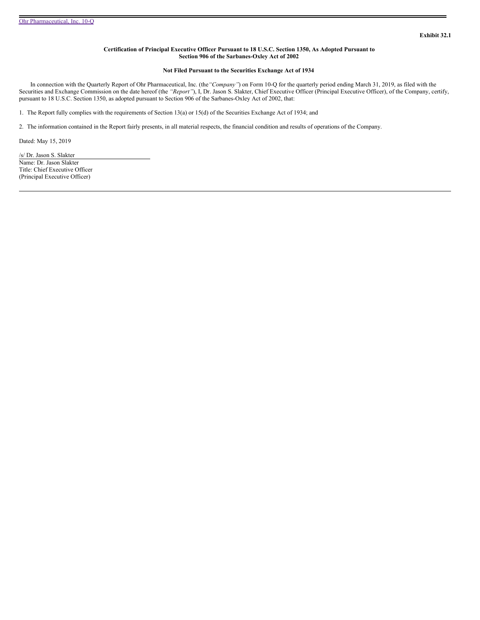## **Certification of Principal Executive Officer Pursuant to 18 U.S.C. Section 1350, As Adopted Pursuant to Section 906 of the Sarbanes-Oxley Act of 2002**

## **Not Filed Pursuant to the Securities Exchange Act of 1934**

<span id="page-35-0"></span>In connection with the Quarterly Report of Ohr Pharmaceutical, Inc. (the*"Company"*) on Form 10-Q for the quarterly period ending March 31, 2019, as filed with the Securities and Exchange Commission on the date hereof (the *"Report"*), I, Dr. Jason S. Slakter, Chief Executive Officer (Principal Executive Officer), of the Company, certify, pursuant to 18 U.S.C. Section 1350, as adopted pursuant to Section 906 of the Sarbanes-Oxley Act of 2002, that:

1. The Report fully complies with the requirements of Section 13(a) or 15(d) of the Securities Exchange Act of 1934; and

2. The information contained in the Report fairly presents, in all material respects, the financial condition and results of operations of the Company.

Dated: May 15, 2019

/s/ Dr. Jason S. Slakter Name: Dr. Jason Slakter Title: Chief Executive Officer (Principal Executive Officer)